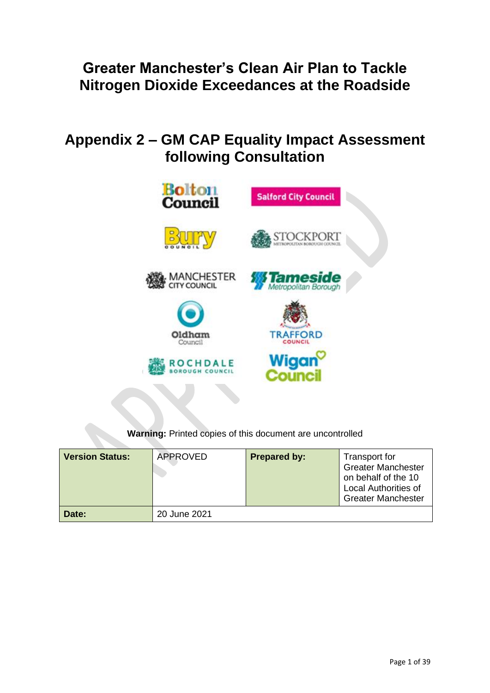# **Greater Manchester's Clean Air Plan to Tackle Nitrogen Dioxide Exceedances at the Roadside**

# **Appendix 2 – GM CAP Equality Impact Assessment following Consultation**



**Warning:** Printed copies of this document are uncontrolled

| <b>Version Status:</b> | APPROVED     | <b>Prepared by:</b> | Transport for<br><b>Greater Manchester</b><br>on behalf of the 10<br><b>Local Authorities of</b><br><b>Greater Manchester</b> |
|------------------------|--------------|---------------------|-------------------------------------------------------------------------------------------------------------------------------|
| Date:                  | 20 June 2021 |                     |                                                                                                                               |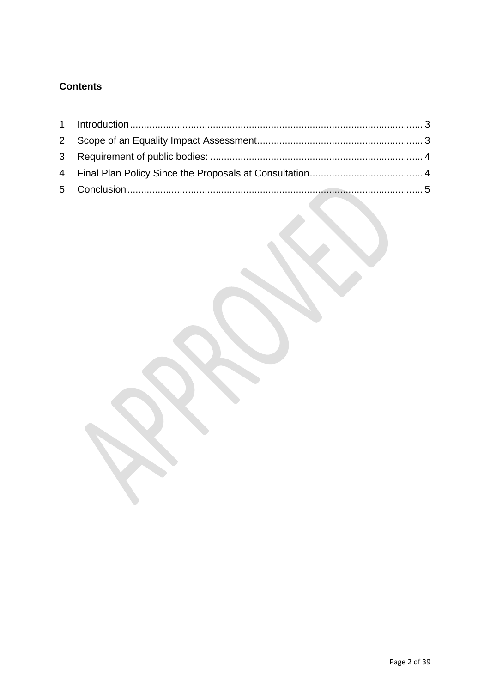# **Contents**

<span id="page-1-0"></span>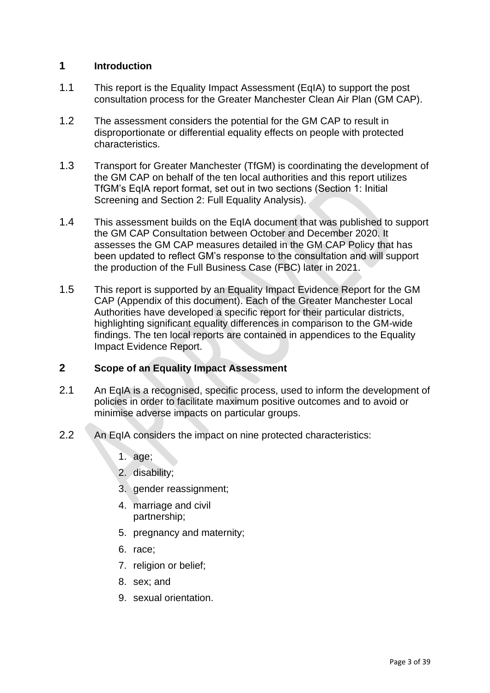# **1 Introduction**

- 1.1 This report is the Equality Impact Assessment (EqIA) to support the post consultation process for the Greater Manchester Clean Air Plan (GM CAP).
- 1.2 The assessment considers the potential for the GM CAP to result in disproportionate or differential equality effects on people with protected characteristics.
- 1.3 Transport for Greater Manchester (TfGM) is coordinating the development of the GM CAP on behalf of the ten local authorities and this report utilizes TfGM's EqIA report format, set out in two sections (Section 1: Initial Screening and Section 2: Full Equality Analysis).
- 1.4 This assessment builds on the EqIA document that was published to support the GM CAP Consultation between October and December 2020. It assesses the GM CAP measures detailed in the GM CAP Policy that has been updated to reflect GM's response to the consultation and will support the production of the Full Business Case (FBC) later in 2021.
- 1.5 This report is supported by an Equality Impact Evidence Report for the GM CAP (Appendix of this document). Each of the Greater Manchester Local Authorities have developed a specific report for their particular districts, highlighting significant equality differences in comparison to the GM-wide findings. The ten local reports are contained in appendices to the Equality Impact Evidence Report.

# <span id="page-2-0"></span>**2 Scope of an Equality Impact Assessment**

- 2.1 An EqIA is a recognised, specific process, used to inform the development of policies in order to facilitate maximum positive outcomes and to avoid or minimise adverse impacts on particular groups.
- 2.2 An EqIA considers the impact on nine protected characteristics:
	- 1. age;
	- 2. disability;
	- 3. gender reassignment;
	- 4. marriage and civil partnership;
	- 5. pregnancy and maternity;
	- 6. race;
	- 7. religion or belief;
	- 8. sex; and
	- 9. sexual orientation.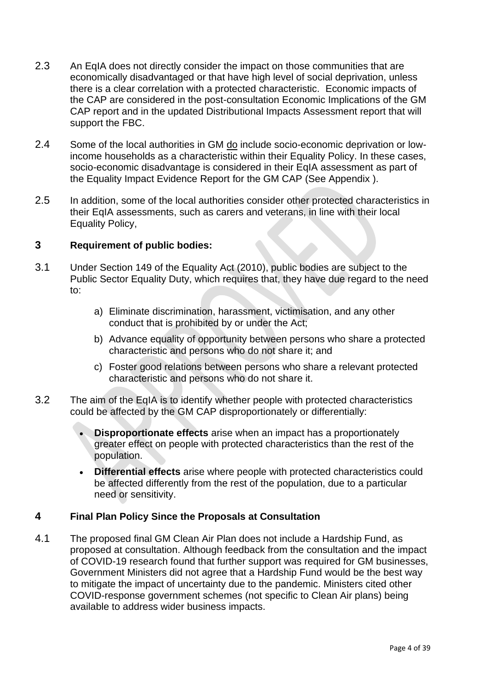- 2.3 An EqIA does not directly consider the impact on those communities that are economically disadvantaged or that have high level of social deprivation, unless there is a clear correlation with a protected characteristic. Economic impacts of the CAP are considered in the post-consultation Economic Implications of the GM CAP report and in the updated Distributional Impacts Assessment report that will support the FBC.
- 2.4 Some of the local authorities in GM do include socio-economic deprivation or lowincome households as a characteristic within their Equality Policy. In these cases, socio-economic disadvantage is considered in their EqIA assessment as part of the Equality Impact Evidence Report for the GM CAP (See Appendix ).
- 2.5 In addition, some of the local authorities consider other protected characteristics in their EqIA assessments, such as carers and veterans, in line with their local Equality Policy,

# <span id="page-3-0"></span>**3 Requirement of public bodies:**

- 3.1 Under Section 149 of the Equality Act (2010), public bodies are subject to the Public Sector Equality Duty, which requires that, they have due regard to the need to:
	- a) Eliminate discrimination, harassment, victimisation, and any other conduct that is prohibited by or under the Act;
	- b) Advance equality of opportunity between persons who share a protected characteristic and persons who do not share it; and
	- c) Foster good relations between persons who share a relevant protected characteristic and persons who do not share it.
- 3.2 The aim of the EqIA is to identify whether people with protected characteristics could be affected by the GM CAP disproportionately or differentially:
	- **Disproportionate effects** arise when an impact has a proportionately greater effect on people with protected characteristics than the rest of the population.
	- **Differential effects** arise where people with protected characteristics could be affected differently from the rest of the population, due to a particular need or sensitivity.

# <span id="page-3-1"></span>**4 Final Plan Policy Since the Proposals at Consultation**

4.1 The proposed final GM Clean Air Plan does not include a Hardship Fund, as proposed at consultation. Although feedback from the consultation and the impact of COVID-19 research found that further support was required for GM businesses, Government Ministers did not agree that a Hardship Fund would be the best way to mitigate the impact of uncertainty due to the pandemic. Ministers cited other COVID-response government schemes (not specific to Clean Air plans) being available to address wider business impacts.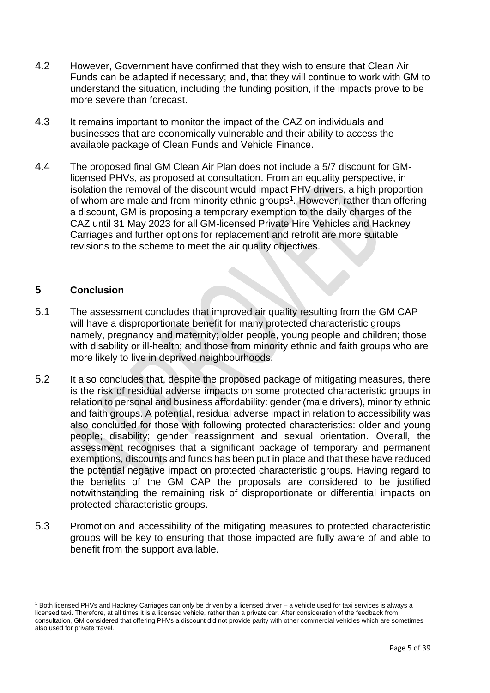- 4.2 However, Government have confirmed that they wish to ensure that Clean Air Funds can be adapted if necessary; and, that they will continue to work with GM to understand the situation, including the funding position, if the impacts prove to be more severe than forecast.
- 4.3 It remains important to monitor the impact of the CAZ on individuals and businesses that are economically vulnerable and their ability to access the available package of Clean Funds and Vehicle Finance.
- 4.4 The proposed final GM Clean Air Plan does not include a 5/7 discount for GMlicensed PHVs, as proposed at consultation. From an equality perspective, in isolation the removal of the discount would impact PHV drivers, a high proportion of whom are male and from minority ethnic groups<sup>1</sup>. However, rather than offering a discount, GM is proposing a temporary exemption to the daily charges of the CAZ until 31 May 2023 for all GM-licensed Private Hire Vehicles and Hackney Carriages and further options for replacement and retrofit are more suitable revisions to the scheme to meet the air quality objectives.

# <span id="page-4-0"></span>**5 Conclusion**

- 5.1 The assessment concludes that improved air quality resulting from the GM CAP will have a disproportionate benefit for many protected characteristic groups namely, pregnancy and maternity; older people, young people and children; those with disability or ill-health; and those from minority ethnic and faith groups who are more likely to live in deprived neighbourhoods.
- 5.2 It also concludes that, despite the proposed package of mitigating measures, there is the risk of residual adverse impacts on some protected characteristic groups in relation to personal and business affordability: gender (male drivers), minority ethnic and faith groups. A potential, residual adverse impact in relation to accessibility was also concluded for those with following protected characteristics: older and young people; disability; gender reassignment and sexual orientation. Overall, the assessment recognises that a significant package of temporary and permanent exemptions, discounts and funds has been put in place and that these have reduced the potential negative impact on protected characteristic groups. Having regard to the benefits of the GM CAP the proposals are considered to be justified notwithstanding the remaining risk of disproportionate or differential impacts on protected characteristic groups.
- 5.3 Promotion and accessibility of the mitigating measures to protected characteristic groups will be key to ensuring that those impacted are fully aware of and able to benefit from the support available.

<sup>1</sup> Both licensed PHVs and Hackney Carriages can only be driven by a licensed driver – a vehicle used for taxi services is always a licensed taxi. Therefore, at all times it is a licensed vehicle, rather than a private car. After consideration of the feedback from consultation, GM considered that offering PHVs a discount did not provide parity with other commercial vehicles which are sometimes also used for private travel.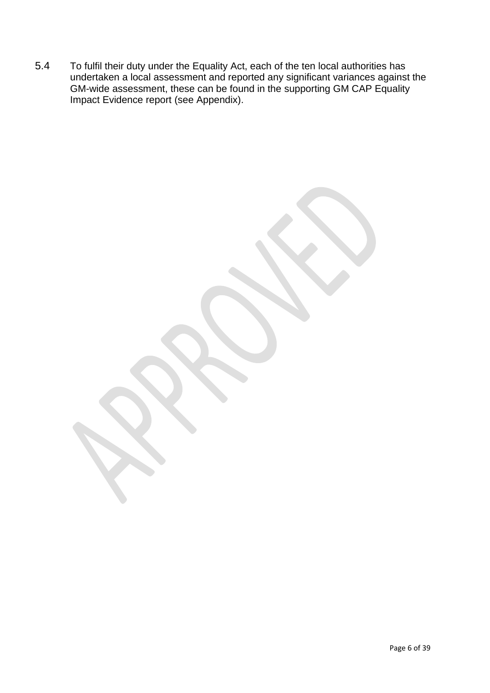5.4 To fulfil their duty under the Equality Act, each of the ten local authorities has undertaken a local assessment and reported any significant variances against the GM-wide assessment, these can be found in the supporting GM CAP Equality Impact Evidence report (see Appendix).

Page 6 of 39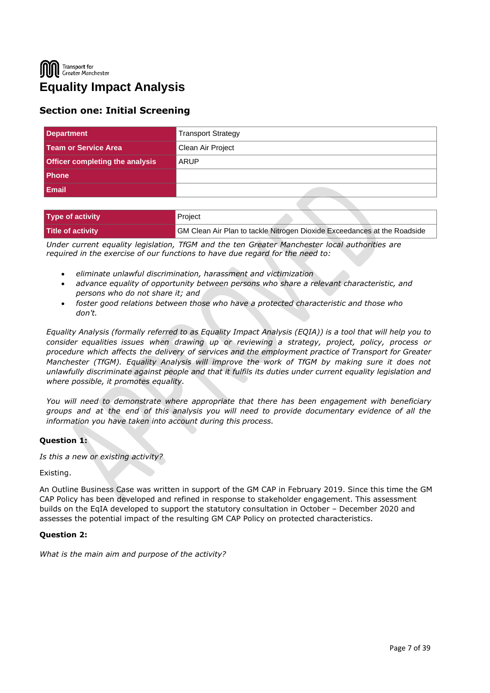Transport for Greater Manchester **Equality Impact Analysis**

# **Section one: Initial Screening**

| <b>Department</b>                      | <b>Transport Strategy</b> |
|----------------------------------------|---------------------------|
| Team or Service Area                   | Clean Air Project         |
| <b>Officer completing the analysis</b> | ARUP                      |
| l Phone                                |                           |
| <b>Email</b>                           |                           |

| Type of activity  | Project                                                                  |
|-------------------|--------------------------------------------------------------------------|
| Title of activity | GM Clean Air Plan to tackle Nitrogen Dioxide Exceedances at the Roadside |

*Under current equality legislation, TfGM and the ten Greater Manchester local authorities are required in the exercise of our functions to have due regard for the need to:*

- *eliminate unlawful discrimination, harassment and victimization*
- *advance equality of opportunity between persons who share a relevant characteristic, and persons who do not share it; and*
- *foster good relations between those who have a protected characteristic and those who don't.*

*Equality Analysis (formally referred to as Equality Impact Analysis (EQIA)) is a tool that will help you to consider equalities issues when drawing up or reviewing a strategy, project, policy, process or procedure which affects the delivery of services and the employment practice of Transport for Greater Manchester (TfGM). Equality Analysis will improve the work of TfGM by making sure it does not unlawfully discriminate against people and that it fulfils its duties under current equality legislation and where possible, it promotes equality.*

*You will need to demonstrate where appropriate that there has been engagement with beneficiary groups and at the end of this analysis you will need to provide documentary evidence of all the information you have taken into account during this process.*

# **Question 1:**

*Is this a new or existing activity?*

#### Existing.

An Outline Business Case was written in support of the GM CAP in February 2019. Since this time the GM CAP Policy has been developed and refined in response to stakeholder engagement. This assessment builds on the EqIA developed to support the statutory consultation in October – December 2020 and assesses the potential impact of the resulting GM CAP Policy on protected characteristics.

#### **Question 2:**

*What is the main aim and purpose of the activity?*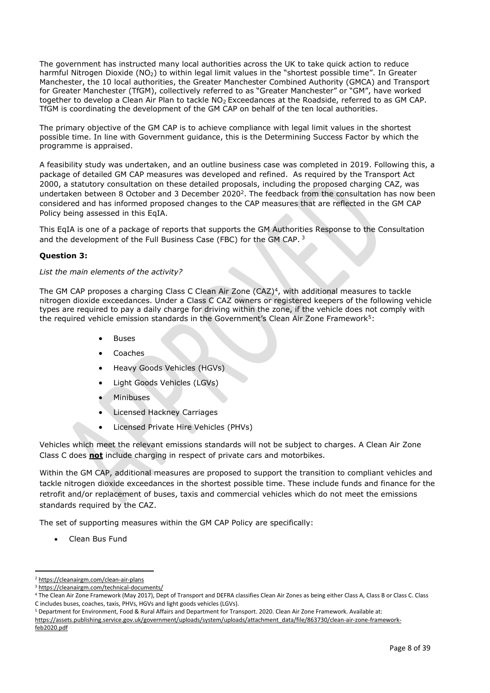The government has instructed many local authorities across the UK to take quick action to reduce harmful Nitrogen Dioxide (NO<sub>2</sub>) to within legal limit values in the "shortest possible time". In Greater Manchester, the 10 local authorities, the Greater Manchester Combined Authority (GMCA) and Transport for Greater Manchester (TfGM), collectively referred to as "Greater Manchester" or "GM", have worked together to develop a Clean Air Plan to tackle NO<sub>2</sub> Exceedances at the Roadside, referred to as GM CAP. TfGM is coordinating the development of the GM CAP on behalf of the ten local authorities.

The primary objective of the GM CAP is to achieve compliance with legal limit values in the shortest possible time. In line with Government guidance, this is the Determining Success Factor by which the programme is appraised.

A feasibility study was undertaken, and an outline business case was completed in 2019. Following this, a package of detailed GM CAP measures was developed and refined. As required by the Transport Act 2000, a statutory consultation on these detailed proposals, including the proposed charging CAZ, was undertaken between 8 October and 3 December 2020<sup>2</sup>. The feedback from the consultation has now been considered and has informed proposed changes to the CAP measures that are reflected in the GM CAP Policy being assessed in this EqIA.

This EqIA is one of a package of reports that supports the GM Authorities Response to the Consultation and the development of the Full Business Case (FBC) for the GM CAP. 3

# **Question 3:**

#### *List the main elements of the activity?*

The GM CAP proposes a charging Class C Clean Air Zone (CAZ)<sup>4</sup> , with additional measures to tackle nitrogen dioxide exceedances. Under a Class C CAZ owners or registered keepers of the following vehicle types are required to pay a daily charge for driving within the zone, if the vehicle does not comply with the required vehicle emission standards in the Government's Clean Air Zone Framework<sup>5</sup>:

- Buses
- Coaches
- Heavy Goods Vehicles (HGVs)
- Light Goods Vehicles (LGVs)
- **Minibuses**
- Licensed Hackney Carriages
- Licensed Private Hire Vehicles (PHVs)

Vehicles which meet the relevant emissions standards will not be subject to charges. A Clean Air Zone Class C does **not** include charging in respect of private cars and motorbikes.

Within the GM CAP, additional measures are proposed to support the transition to compliant vehicles and tackle nitrogen dioxide exceedances in the shortest possible time. These include funds and finance for the retrofit and/or replacement of buses, taxis and commercial vehicles which do not meet the emissions standards required by the CAZ.

The set of supporting measures within the GM CAP Policy are specifically:

• Clean Bus Fund

<sup>2</sup> <https://cleanairgm.com/clean-air-plans>

<sup>3</sup> [https://cleanairgm.com/technical-documents/](https://secure-web.cisco.com/11eiBCgElauzNx9ZLncgJx3iOubmp4VtcvvkdlhxY65RKvTbIb59-L2ncr8SElltrd2x-6LbEl4KMsTTxIe3wkMOtRdF_mwDnnUw_pzGQZOwSRIhPJyQIZ8Yp6BpEAcNSn8Ts-zUMkCwwKuuZ6JqlhO90pJazjetwe6gKhLVIM_BswP0PQmXUeuqGyGpWdmieI8qM86OywsW2Ih1TXBkADjvPWBAW0J67oLJLyOi-5a-P-uw5qxFWy4jV1Rgj27aX74mWEA8RmcCJF_QiJniWV9Y7vnNRmfIdielNKILyTnV3ChPut5AXlpom2ThMoaDynN4YcMw9M5bXrEI6WdmDFg/https%3A%2F%2Furl4.mailanyone.net%2Fv1%2F%3Fm%3D1lqaQa-0007kg-3t%26i%3D57e1b682%26c%3Dwx7pouswT3bJs4LPeETsz86q7Q_0OC56XXhe7DlJDibGRSGR8fdmSomeuSdI7C2Fa0eQbaAqoLXhP95flvC3e_rUhnBjBiD8llf9LaF4ZtCjfFRgnR8YVM3huSJaCGnICk94fttlvHc5puWw5cDJWXKncROEJUpzHqnxCBOtlS83l3-sjgML-pIcbUhAQZELxzuJu6c3812_3lnwQAbyYwgocO5Fara8d5TyMQqiWW6tNZcZXXghiSlVoISAGQRmsZ-TU8nVqIdM3Z7LyV0OBSLL4yenFqLa1SDyZM36c6L9Rv_9RwvC_zO8-ja9EEmp3RuaxQ4iKqu8pID_qRBxLRB9hKR0Yp8TjK3AxZQfI6W6JX6ff_FKZIssUgNuX4h8fgWjXtS31MSzgcKKD5htCOS8RNiJG7hqFaezCADs1zqfd5YI5KwtXyQV8Xcw9c04dqUU3rtH6b_zGkplrYZzi_tw5Uh0gVH_yDQ0aze-YmaYOmPe-7DcIOn3tcJzyPAzyNqQZKCfP-i1oh349NtnaY_1gjK4qs0hRBa9R9D0kEGpaGRFokA16JTCjrnHuvRgs7DcM7Fi3nDdrs6xiFxYb34O5EIVstmWMeA67C4pmsqoQ4hX3-rUnQd3vI35GAzQJzJxEsp-QxLb4UU4coOA_r80VNAaur_GF4G4X8lvmN0gEZ3Wu5QzUhFNsj4TCOgSucH17LnJrJVLTZfksCAbTQ)

<sup>4</sup> The Clean Air Zone Framework (May 2017), Dept of Transport and DEFRA classifies Clean Air Zones as being either Class A, Class B or Class C. Class C includes buses, coaches, taxis, PHVs, HGVs and light goods vehicles (LGVs).

<sup>5</sup> Department for Environment, Food & Rural Affairs and Department for Transport. 2020. Clean Air Zone Framework. Available at:

[https://assets.publishing.service.gov.uk/government/uploads/system/uploads/attachment\\_data/file/863730/clean-air-zone-framework](https://assets.publishing.service.gov.uk/government/uploads/system/uploads/attachment_data/file/863730/clean-air-zone-framework-feb2020.pdf)[feb2020.pdf](https://assets.publishing.service.gov.uk/government/uploads/system/uploads/attachment_data/file/863730/clean-air-zone-framework-feb2020.pdf)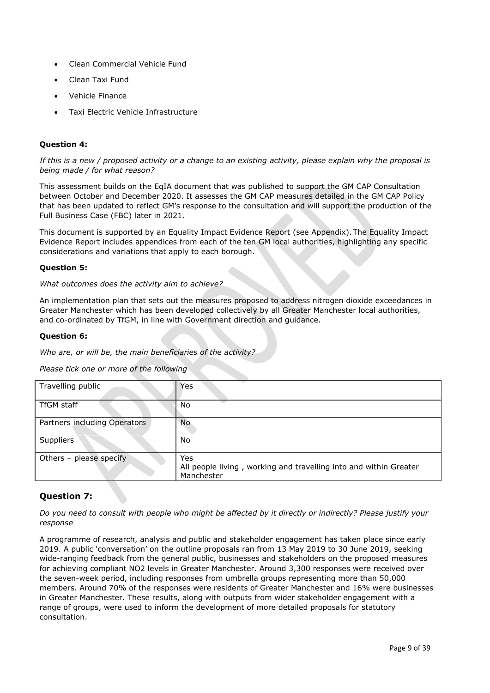- Clean Commercial Vehicle Fund
- Clean Taxi Fund
- Vehicle Finance
- Taxi Electric Vehicle Infrastructure

# **Question 4:**

*If this is a new / proposed activity or a change to an existing activity, please explain why the proposal is being made / for what reason?*

This assessment builds on the EqIA document that was published to support the GM CAP Consultation between October and December 2020. It assesses the GM CAP measures detailed in the GM CAP Policy that has been updated to reflect GM's response to the consultation and will support the production of the Full Business Case (FBC) later in 2021.

This document is supported by an Equality Impact Evidence Report (see Appendix).The Equality Impact Evidence Report includes appendices from each of the ten GM local authorities, highlighting any specific considerations and variations that apply to each borough.

# **Question 5:**

*What outcomes does the activity aim to achieve?*

An implementation plan that sets out the measures proposed to address nitrogen dioxide exceedances in Greater Manchester which has been developed collectively by all Greater Manchester local authorities, and co-ordinated by TfGM, in line with Government direction and guidance.

#### **Question 6:**

*Who are, or will be, the main beneficiaries of the activity?*

*Please tick one or more of the following*

| Travelling public            | Yes                                                                                    |
|------------------------------|----------------------------------------------------------------------------------------|
| <b>TfGM staff</b>            | No.                                                                                    |
| Partners including Operators | No.                                                                                    |
| Suppliers                    | No                                                                                     |
| Others - please specify      | Yes<br>All people living, working and travelling into and within Greater<br>Manchester |

# **Question 7:**

*Do you need to consult with people who might be affected by it directly or indirectly? Please justify your response*

A programme of research, analysis and public and stakeholder engagement has taken place since early 2019. A public 'conversation' on the outline proposals ran from 13 May 2019 to 30 June 2019, seeking wide-ranging feedback from the general public, businesses and stakeholders on the proposed measures for achieving compliant NO2 levels in Greater Manchester. Around 3,300 responses were received over the seven-week period, including responses from umbrella groups representing more than 50,000 members. Around 70% of the responses were residents of Greater Manchester and 16% were businesses in Greater Manchester. These results, along with outputs from wider stakeholder engagement with a range of groups, were used to inform the development of more detailed proposals for statutory consultation.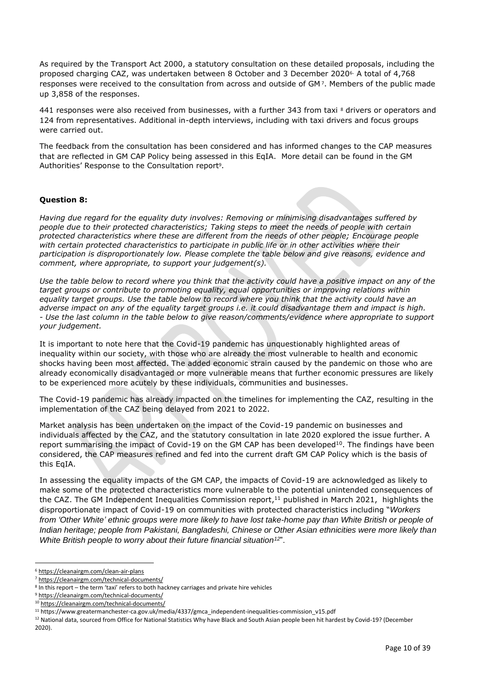As required by the Transport Act 2000, a statutory consultation on these detailed proposals, including the proposed charging CAZ, was undertaken between 8 October and 3 December 20206. A total of 4,768 responses were received to the consultation from across and outside of GM <sup>7</sup> . Members of the public made up 3,858 of the responses.

441 responses were also received from businesses, with a further 343 from taxi 8 drivers or operators and 124 from representatives. Additional in-depth interviews, including with taxi drivers and focus groups were carried out.

The feedback from the consultation has been considered and has informed changes to the CAP measures that are reflected in GM CAP Policy being assessed in this EqIA. More detail can be found in the GM Authorities' Response to the Consultation report<sup>9</sup>.

#### **Question 8:**

*Having due regard for the equality duty involves: Removing or minimising disadvantages suffered by people due to their protected characteristics; Taking steps to meet the needs of people with certain protected characteristics where these are different from the needs of other people; Encourage people with certain protected characteristics to participate in public life or in other activities where their participation is disproportionately low. Please complete the table below and give reasons, evidence and comment, where appropriate, to support your judgement(s).*

*Use the table below to record where you think that the activity could have a positive impact on any of the target groups or contribute to promoting equality, equal opportunities or improving relations within equality target groups. Use the table below to record where you think that the activity could have an adverse impact on any of the equality target groups i.e. it could disadvantage them and impact is high. - Use the last column in the table below to give reason/comments/evidence where appropriate to support your judgement.*

It is important to note here that the Covid-19 pandemic has unquestionably highlighted areas of inequality within our society, with those who are already the most vulnerable to health and economic shocks having been most affected. The added economic strain caused by the pandemic on those who are already economically disadvantaged or more vulnerable means that further economic pressures are likely to be experienced more acutely by these individuals, communities and businesses.

The Covid-19 pandemic has already impacted on the timelines for implementing the CAZ, resulting in the implementation of the CAZ being delayed from 2021 to 2022.

Market analysis has been undertaken on the impact of the Covid-19 pandemic on businesses and individuals affected by the CAZ, and the statutory consultation in late 2020 explored the issue further. A report summarising the impact of Covid-19 on the GM CAP has been developed<sup>10</sup>. The findings have been considered, the CAP measures refined and fed into the current draft GM CAP Policy which is the basis of this EqIA.

In assessing the equality impacts of the GM CAP, the impacts of Covid-19 are acknowledged as likely to make some of the protected characteristics more vulnerable to the potential unintended consequences of the CAZ. The GM Independent Inequalities Commission report,<sup>11</sup> published in March 2021, highlights the disproportionate impact of Covid-19 on communities with protected characteristics including "*Workers from 'Other White' ethnic groups were more likely to have lost take-home pay than White British or people of Indian heritage; people from Pakistani, Bangladeshi, Chinese or Other Asian ethnicities were more likely than White British people to worry about their future financial situation<sup>12</sup>* ".

<sup>6</sup> <https://cleanairgm.com/clean-air-plans>

<sup>7</sup> [https://cleanairgm.com/technical-documents/](https://secure-web.cisco.com/11eiBCgElauzNx9ZLncgJx3iOubmp4VtcvvkdlhxY65RKvTbIb59-L2ncr8SElltrd2x-6LbEl4KMsTTxIe3wkMOtRdF_mwDnnUw_pzGQZOwSRIhPJyQIZ8Yp6BpEAcNSn8Ts-zUMkCwwKuuZ6JqlhO90pJazjetwe6gKhLVIM_BswP0PQmXUeuqGyGpWdmieI8qM86OywsW2Ih1TXBkADjvPWBAW0J67oLJLyOi-5a-P-uw5qxFWy4jV1Rgj27aX74mWEA8RmcCJF_QiJniWV9Y7vnNRmfIdielNKILyTnV3ChPut5AXlpom2ThMoaDynN4YcMw9M5bXrEI6WdmDFg/https%3A%2F%2Furl4.mailanyone.net%2Fv1%2F%3Fm%3D1lqaQa-0007kg-3t%26i%3D57e1b682%26c%3Dwx7pouswT3bJs4LPeETsz86q7Q_0OC56XXhe7DlJDibGRSGR8fdmSomeuSdI7C2Fa0eQbaAqoLXhP95flvC3e_rUhnBjBiD8llf9LaF4ZtCjfFRgnR8YVM3huSJaCGnICk94fttlvHc5puWw5cDJWXKncROEJUpzHqnxCBOtlS83l3-sjgML-pIcbUhAQZELxzuJu6c3812_3lnwQAbyYwgocO5Fara8d5TyMQqiWW6tNZcZXXghiSlVoISAGQRmsZ-TU8nVqIdM3Z7LyV0OBSLL4yenFqLa1SDyZM36c6L9Rv_9RwvC_zO8-ja9EEmp3RuaxQ4iKqu8pID_qRBxLRB9hKR0Yp8TjK3AxZQfI6W6JX6ff_FKZIssUgNuX4h8fgWjXtS31MSzgcKKD5htCOS8RNiJG7hqFaezCADs1zqfd5YI5KwtXyQV8Xcw9c04dqUU3rtH6b_zGkplrYZzi_tw5Uh0gVH_yDQ0aze-YmaYOmPe-7DcIOn3tcJzyPAzyNqQZKCfP-i1oh349NtnaY_1gjK4qs0hRBa9R9D0kEGpaGRFokA16JTCjrnHuvRgs7DcM7Fi3nDdrs6xiFxYb34O5EIVstmWMeA67C4pmsqoQ4hX3-rUnQd3vI35GAzQJzJxEsp-QxLb4UU4coOA_r80VNAaur_GF4G4X8lvmN0gEZ3Wu5QzUhFNsj4TCOgSucH17LnJrJVLTZfksCAbTQ)

<sup>&</sup>lt;sup>8</sup> In this report – the term 'taxi' refers to both hackney carriages and private hire vehicles

<sup>9</sup> [https://cleanairgm.com/technical-documents/](https://secure-web.cisco.com/11eiBCgElauzNx9ZLncgJx3iOubmp4VtcvvkdlhxY65RKvTbIb59-L2ncr8SElltrd2x-6LbEl4KMsTTxIe3wkMOtRdF_mwDnnUw_pzGQZOwSRIhPJyQIZ8Yp6BpEAcNSn8Ts-zUMkCwwKuuZ6JqlhO90pJazjetwe6gKhLVIM_BswP0PQmXUeuqGyGpWdmieI8qM86OywsW2Ih1TXBkADjvPWBAW0J67oLJLyOi-5a-P-uw5qxFWy4jV1Rgj27aX74mWEA8RmcCJF_QiJniWV9Y7vnNRmfIdielNKILyTnV3ChPut5AXlpom2ThMoaDynN4YcMw9M5bXrEI6WdmDFg/https%3A%2F%2Furl4.mailanyone.net%2Fv1%2F%3Fm%3D1lqaQa-0007kg-3t%26i%3D57e1b682%26c%3Dwx7pouswT3bJs4LPeETsz86q7Q_0OC56XXhe7DlJDibGRSGR8fdmSomeuSdI7C2Fa0eQbaAqoLXhP95flvC3e_rUhnBjBiD8llf9LaF4ZtCjfFRgnR8YVM3huSJaCGnICk94fttlvHc5puWw5cDJWXKncROEJUpzHqnxCBOtlS83l3-sjgML-pIcbUhAQZELxzuJu6c3812_3lnwQAbyYwgocO5Fara8d5TyMQqiWW6tNZcZXXghiSlVoISAGQRmsZ-TU8nVqIdM3Z7LyV0OBSLL4yenFqLa1SDyZM36c6L9Rv_9RwvC_zO8-ja9EEmp3RuaxQ4iKqu8pID_qRBxLRB9hKR0Yp8TjK3AxZQfI6W6JX6ff_FKZIssUgNuX4h8fgWjXtS31MSzgcKKD5htCOS8RNiJG7hqFaezCADs1zqfd5YI5KwtXyQV8Xcw9c04dqUU3rtH6b_zGkplrYZzi_tw5Uh0gVH_yDQ0aze-YmaYOmPe-7DcIOn3tcJzyPAzyNqQZKCfP-i1oh349NtnaY_1gjK4qs0hRBa9R9D0kEGpaGRFokA16JTCjrnHuvRgs7DcM7Fi3nDdrs6xiFxYb34O5EIVstmWMeA67C4pmsqoQ4hX3-rUnQd3vI35GAzQJzJxEsp-QxLb4UU4coOA_r80VNAaur_GF4G4X8lvmN0gEZ3Wu5QzUhFNsj4TCOgSucH17LnJrJVLTZfksCAbTQ)

<sup>10</sup> [https://cleanairgm.com/technical-documents/](https://secure-web.cisco.com/11eiBCgElauzNx9ZLncgJx3iOubmp4VtcvvkdlhxY65RKvTbIb59-L2ncr8SElltrd2x-6LbEl4KMsTTxIe3wkMOtRdF_mwDnnUw_pzGQZOwSRIhPJyQIZ8Yp6BpEAcNSn8Ts-zUMkCwwKuuZ6JqlhO90pJazjetwe6gKhLVIM_BswP0PQmXUeuqGyGpWdmieI8qM86OywsW2Ih1TXBkADjvPWBAW0J67oLJLyOi-5a-P-uw5qxFWy4jV1Rgj27aX74mWEA8RmcCJF_QiJniWV9Y7vnNRmfIdielNKILyTnV3ChPut5AXlpom2ThMoaDynN4YcMw9M5bXrEI6WdmDFg/https%3A%2F%2Furl4.mailanyone.net%2Fv1%2F%3Fm%3D1lqaQa-0007kg-3t%26i%3D57e1b682%26c%3Dwx7pouswT3bJs4LPeETsz86q7Q_0OC56XXhe7DlJDibGRSGR8fdmSomeuSdI7C2Fa0eQbaAqoLXhP95flvC3e_rUhnBjBiD8llf9LaF4ZtCjfFRgnR8YVM3huSJaCGnICk94fttlvHc5puWw5cDJWXKncROEJUpzHqnxCBOtlS83l3-sjgML-pIcbUhAQZELxzuJu6c3812_3lnwQAbyYwgocO5Fara8d5TyMQqiWW6tNZcZXXghiSlVoISAGQRmsZ-TU8nVqIdM3Z7LyV0OBSLL4yenFqLa1SDyZM36c6L9Rv_9RwvC_zO8-ja9EEmp3RuaxQ4iKqu8pID_qRBxLRB9hKR0Yp8TjK3AxZQfI6W6JX6ff_FKZIssUgNuX4h8fgWjXtS31MSzgcKKD5htCOS8RNiJG7hqFaezCADs1zqfd5YI5KwtXyQV8Xcw9c04dqUU3rtH6b_zGkplrYZzi_tw5Uh0gVH_yDQ0aze-YmaYOmPe-7DcIOn3tcJzyPAzyNqQZKCfP-i1oh349NtnaY_1gjK4qs0hRBa9R9D0kEGpaGRFokA16JTCjrnHuvRgs7DcM7Fi3nDdrs6xiFxYb34O5EIVstmWMeA67C4pmsqoQ4hX3-rUnQd3vI35GAzQJzJxEsp-QxLb4UU4coOA_r80VNAaur_GF4G4X8lvmN0gEZ3Wu5QzUhFNsj4TCOgSucH17LnJrJVLTZfksCAbTQ)

<sup>11</sup> https://www.greatermanchester-ca.gov.uk/media/4337/gmca\_independent-inequalities-commission\_v15.pdf

<sup>&</sup>lt;sup>12</sup> National data, sourced from Office for National Statistics Why have Black and South Asian people been hit hardest by Covid-19? (December 2020).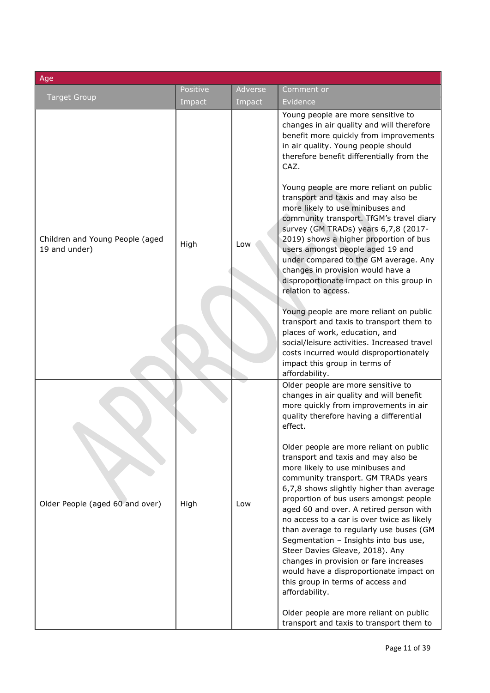| Age                                              |                    |                   |                                                                                                                                                                                                                                                                                                                                                                                                                                                                                                                                                                                                             |
|--------------------------------------------------|--------------------|-------------------|-------------------------------------------------------------------------------------------------------------------------------------------------------------------------------------------------------------------------------------------------------------------------------------------------------------------------------------------------------------------------------------------------------------------------------------------------------------------------------------------------------------------------------------------------------------------------------------------------------------|
| <b>Target Group</b>                              | Positive<br>Impact | Adverse<br>Impact | Comment or<br>Evidence                                                                                                                                                                                                                                                                                                                                                                                                                                                                                                                                                                                      |
|                                                  |                    |                   | Young people are more sensitive to<br>changes in air quality and will therefore<br>benefit more quickly from improvements<br>in air quality. Young people should<br>therefore benefit differentially from the<br>CAZ.                                                                                                                                                                                                                                                                                                                                                                                       |
| Children and Young People (aged<br>19 and under) | High               | Low               | Young people are more reliant on public<br>transport and taxis and may also be<br>more likely to use minibuses and<br>community transport. TfGM's travel diary<br>survey (GM TRADs) years 6,7,8 (2017-<br>2019) shows a higher proportion of bus<br>users amongst people aged 19 and<br>under compared to the GM average. Any<br>changes in provision would have a<br>disproportionate impact on this group in<br>relation to access.                                                                                                                                                                       |
|                                                  |                    |                   | Young people are more reliant on public<br>transport and taxis to transport them to<br>places of work, education, and<br>social/leisure activities. Increased travel<br>costs incurred would disproportionately<br>impact this group in terms of<br>affordability.                                                                                                                                                                                                                                                                                                                                          |
|                                                  |                    |                   | Older people are more sensitive to<br>changes in air quality and will benefit<br>more quickly from improvements in air<br>quality therefore having a differential<br>effect.                                                                                                                                                                                                                                                                                                                                                                                                                                |
| Older People (aged 60 and over)                  | High               | Low               | Older people are more reliant on public<br>transport and taxis and may also be<br>more likely to use minibuses and<br>community transport. GM TRADs years<br>6,7,8 shows slightly higher than average<br>proportion of bus users amongst people<br>aged 60 and over. A retired person with<br>no access to a car is over twice as likely<br>than average to regularly use buses (GM<br>Segmentation - Insights into bus use,<br>Steer Davies Gleave, 2018). Any<br>changes in provision or fare increases<br>would have a disproportionate impact on<br>this group in terms of access and<br>affordability. |
|                                                  |                    |                   | Older people are more reliant on public<br>transport and taxis to transport them to                                                                                                                                                                                                                                                                                                                                                                                                                                                                                                                         |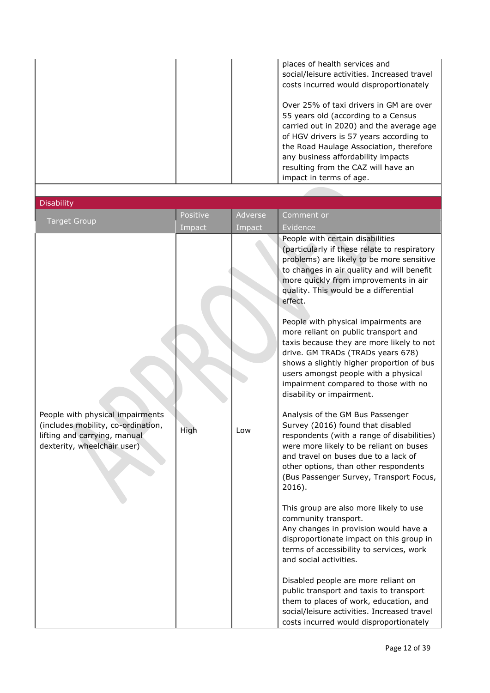|  | places of health services and<br>social/leisure activities. Increased travel<br>costs incurred would disproportionately                                                                                                                                                                                                  |
|--|--------------------------------------------------------------------------------------------------------------------------------------------------------------------------------------------------------------------------------------------------------------------------------------------------------------------------|
|  | Over 25% of taxi drivers in GM are over<br>55 years old (according to a Census<br>carried out in 2020) and the average age<br>of HGV drivers is 57 years according to<br>the Road Haulage Association, therefore<br>any business affordability impacts<br>resulting from the CAZ will have an<br>impact in terms of age. |

| <b>Disability</b> |  |  |
|-------------------|--|--|
|                   |  |  |
|                   |  |  |

| <b>Target Group</b>                                                                                                                   | Positive | Adverse | Comment or                                                                                                                                                                                                                                                                                                       |
|---------------------------------------------------------------------------------------------------------------------------------------|----------|---------|------------------------------------------------------------------------------------------------------------------------------------------------------------------------------------------------------------------------------------------------------------------------------------------------------------------|
|                                                                                                                                       | Impact   | Impact  | Evidence                                                                                                                                                                                                                                                                                                         |
|                                                                                                                                       |          |         | People with certain disabilities<br>(particularly if these relate to respiratory<br>problems) are likely to be more sensitive<br>to changes in air quality and will benefit<br>more quickly from improvements in air<br>quality. This would be a differential<br>effect.<br>People with physical impairments are |
|                                                                                                                                       |          |         | more reliant on public transport and<br>taxis because they are more likely to not<br>drive. GM TRADs (TRADs years 678)<br>shows a slightly higher proportion of bus<br>users amongst people with a physical<br>impairment compared to those with no<br>disability or impairment.                                 |
| People with physical impairments<br>(includes mobility, co-ordination,<br>lifting and carrying, manual<br>dexterity, wheelchair user) | High     | Low     | Analysis of the GM Bus Passenger<br>Survey (2016) found that disabled<br>respondents (with a range of disabilities)<br>were more likely to be reliant on buses<br>and travel on buses due to a lack of<br>other options, than other respondents<br>(Bus Passenger Survey, Transport Focus,<br>$2016$ ).          |
|                                                                                                                                       |          |         | This group are also more likely to use<br>community transport.<br>Any changes in provision would have a<br>disproportionate impact on this group in<br>terms of accessibility to services, work<br>and social activities.                                                                                        |
|                                                                                                                                       |          |         | Disabled people are more reliant on<br>public transport and taxis to transport<br>them to places of work, education, and<br>social/leisure activities. Increased travel<br>costs incurred would disproportionately                                                                                               |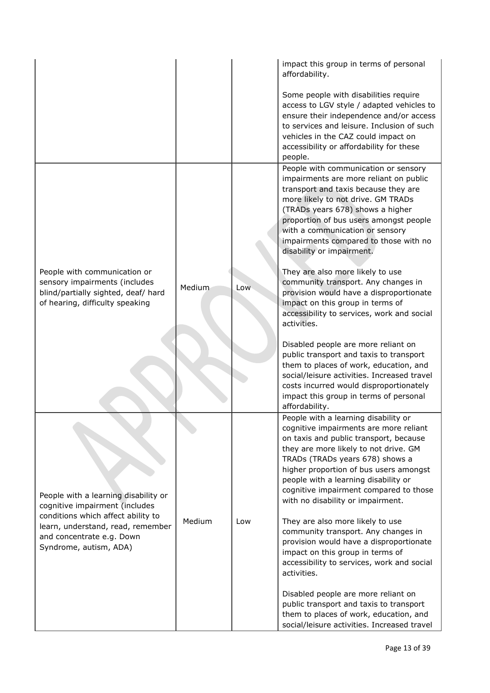|                                                                                                                                         |        |     | impact this group in terms of personal<br>affordability.                                                                                                                                                                                                                                                                                                              |
|-----------------------------------------------------------------------------------------------------------------------------------------|--------|-----|-----------------------------------------------------------------------------------------------------------------------------------------------------------------------------------------------------------------------------------------------------------------------------------------------------------------------------------------------------------------------|
|                                                                                                                                         |        |     | Some people with disabilities require<br>access to LGV style / adapted vehicles to<br>ensure their independence and/or access<br>to services and leisure. Inclusion of such<br>vehicles in the CAZ could impact on<br>accessibility or affordability for these<br>people.                                                                                             |
|                                                                                                                                         |        |     | People with communication or sensory<br>impairments are more reliant on public<br>transport and taxis because they are<br>more likely to not drive. GM TRADs<br>(TRADs years 678) shows a higher<br>proportion of bus users amongst people<br>with a communication or sensory<br>impairments compared to those with no<br>disability or impairment.                   |
| People with communication or<br>sensory impairments (includes<br>blind/partially sighted, deaf/ hard<br>of hearing, difficulty speaking | Medium | Low | They are also more likely to use<br>community transport. Any changes in<br>provision would have a disproportionate<br>impact on this group in terms of<br>accessibility to services, work and social<br>activities.                                                                                                                                                   |
|                                                                                                                                         |        |     | Disabled people are more reliant on<br>public transport and taxis to transport<br>them to places of work, education, and<br>social/leisure activities. Increased travel<br>costs incurred would disproportionately<br>impact this group in terms of personal<br>affordability.                                                                                        |
| People with a learning disability or<br>cognitive impairment (includes                                                                  |        |     | People with a learning disability or<br>cognitive impairments are more reliant<br>on taxis and public transport, because<br>they are more likely to not drive. GM<br>TRADs (TRADs years 678) shows a<br>higher proportion of bus users amongst<br>people with a learning disability or<br>cognitive impairment compared to those<br>with no disability or impairment. |
| conditions which affect ability to<br>learn, understand, read, remember<br>and concentrate e.g. Down<br>Syndrome, autism, ADA)          | Medium | Low | They are also more likely to use<br>community transport. Any changes in<br>provision would have a disproportionate<br>impact on this group in terms of<br>accessibility to services, work and social<br>activities.                                                                                                                                                   |
|                                                                                                                                         |        |     | Disabled people are more reliant on<br>public transport and taxis to transport<br>them to places of work, education, and<br>social/leisure activities. Increased travel                                                                                                                                                                                               |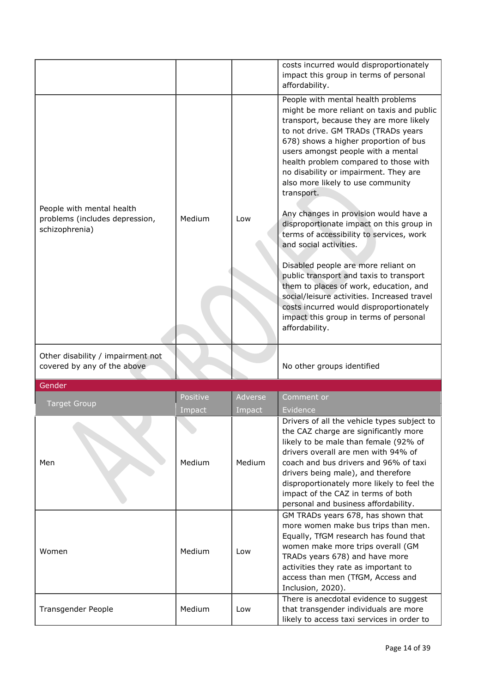|                                                                               |          |         | costs incurred would disproportionately                                                                                                                                                                                                                                                                                                                                                                                                                                                                                                                                                                                                                                                                                                                                                                                            |
|-------------------------------------------------------------------------------|----------|---------|------------------------------------------------------------------------------------------------------------------------------------------------------------------------------------------------------------------------------------------------------------------------------------------------------------------------------------------------------------------------------------------------------------------------------------------------------------------------------------------------------------------------------------------------------------------------------------------------------------------------------------------------------------------------------------------------------------------------------------------------------------------------------------------------------------------------------------|
|                                                                               |          |         | impact this group in terms of personal                                                                                                                                                                                                                                                                                                                                                                                                                                                                                                                                                                                                                                                                                                                                                                                             |
|                                                                               |          |         | affordability.                                                                                                                                                                                                                                                                                                                                                                                                                                                                                                                                                                                                                                                                                                                                                                                                                     |
| People with mental health<br>problems (includes depression,<br>schizophrenia) | Medium   | Low     | People with mental health problems<br>might be more reliant on taxis and public<br>transport, because they are more likely<br>to not drive. GM TRADs (TRADs years<br>678) shows a higher proportion of bus<br>users amongst people with a mental<br>health problem compared to those with<br>no disability or impairment. They are<br>also more likely to use community<br>transport.<br>Any changes in provision would have a<br>disproportionate impact on this group in<br>terms of accessibility to services, work<br>and social activities.<br>Disabled people are more reliant on<br>public transport and taxis to transport<br>them to places of work, education, and<br>social/leisure activities. Increased travel<br>costs incurred would disproportionately<br>impact this group in terms of personal<br>affordability. |
| Other disability / impairment not<br>covered by any of the above              |          |         | No other groups identified                                                                                                                                                                                                                                                                                                                                                                                                                                                                                                                                                                                                                                                                                                                                                                                                         |
| Gender                                                                        |          |         |                                                                                                                                                                                                                                                                                                                                                                                                                                                                                                                                                                                                                                                                                                                                                                                                                                    |
|                                                                               | Positive | Adverse | Comment or                                                                                                                                                                                                                                                                                                                                                                                                                                                                                                                                                                                                                                                                                                                                                                                                                         |
| <b>Target Group</b>                                                           | Impact   | Impact  | Evidence                                                                                                                                                                                                                                                                                                                                                                                                                                                                                                                                                                                                                                                                                                                                                                                                                           |
| Men                                                                           | Medium   | Medium  | Drivers of all the vehicle types subject to<br>the CAZ charge are significantly more<br>likely to be male than female (92% of<br>drivers overall are men with 94% of<br>coach and bus drivers and 96% of taxi<br>drivers being male), and therefore<br>disproportionately more likely to feel the<br>impact of the CAZ in terms of both<br>personal and business affordability.                                                                                                                                                                                                                                                                                                                                                                                                                                                    |
| Women                                                                         | Medium   | Low     | GM TRADs years 678, has shown that<br>more women make bus trips than men.<br>Equally, TfGM research has found that<br>women make more trips overall (GM<br>TRADs years 678) and have more<br>activities they rate as important to<br>access than men (TfGM, Access and<br>Inclusion, 2020).                                                                                                                                                                                                                                                                                                                                                                                                                                                                                                                                        |
| Transgender People                                                            | Medium   | Low     | There is anecdotal evidence to suggest<br>that transgender individuals are more<br>likely to access taxi services in order to                                                                                                                                                                                                                                                                                                                                                                                                                                                                                                                                                                                                                                                                                                      |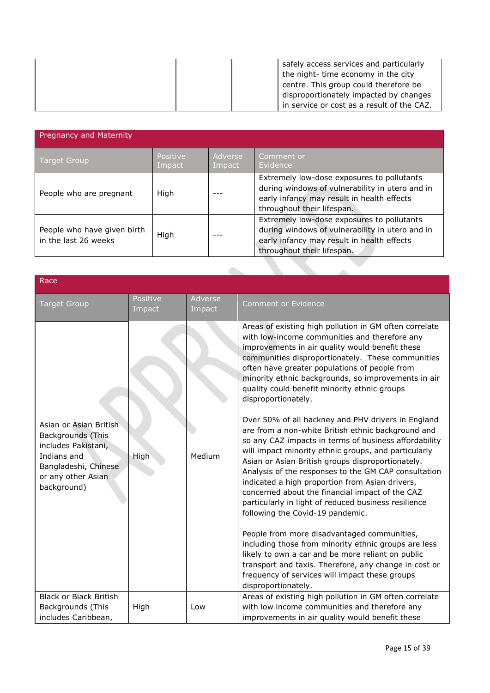| safely access services and particularly<br>the night- time economy in the city       |
|--------------------------------------------------------------------------------------|
| centre. This group could therefore be                                                |
| disproportionately impacted by changes<br>in service or cost as a result of the CAZ. |

| <b>Pregnancy and Maternity</b>                      |                    |                   |                                                                                                                                                                           |
|-----------------------------------------------------|--------------------|-------------------|---------------------------------------------------------------------------------------------------------------------------------------------------------------------------|
| <b>Target Group</b>                                 | Positive<br>Impact | Adverse<br>Impact | Comment or<br>Evidence                                                                                                                                                    |
| People who are pregnant                             | High               |                   | Extremely low-dose exposures to pollutants<br>during windows of vulnerability in utero and in<br>early infancy may result in health effects<br>throughout their lifespan. |
| People who have given birth<br>in the last 26 weeks | High               |                   | Extremely low-dose exposures to pollutants<br>during windows of vulnerability in utero and in<br>early infancy may result in health effects<br>throughout their lifespan. |

| Race                                                                                                                                                  |                    |                   |                                                                                                                                                                                                                                                                                                                                                                                                                                                                                    |
|-------------------------------------------------------------------------------------------------------------------------------------------------------|--------------------|-------------------|------------------------------------------------------------------------------------------------------------------------------------------------------------------------------------------------------------------------------------------------------------------------------------------------------------------------------------------------------------------------------------------------------------------------------------------------------------------------------------|
| <b>Target Group</b>                                                                                                                                   | Positive<br>Impact | Adverse<br>Impact | <b>Comment or Evidence</b>                                                                                                                                                                                                                                                                                                                                                                                                                                                         |
|                                                                                                                                                       |                    |                   | Areas of existing high pollution in GM often correlate<br>with low-income communities and therefore any<br>improvements in air quality would benefit these<br>communities disproportionately. These communities<br>often have greater populations of people from<br>minority ethnic backgrounds, so improvements in air<br>quality could benefit minority ethnic groups<br>disproportionately.<br>Over 50% of all hackney and PHV drivers in England                               |
| Asian or Asian British<br><b>Backgrounds (This</b><br>includes Pakistani,<br>Indians and<br>Bangladeshi, Chinese<br>or any other Asian<br>background) | High               | Medium            | are from a non-white British ethnic background and<br>so any CAZ impacts in terms of business affordability<br>will impact minority ethnic groups, and particularly<br>Asian or Asian British groups disproportionately.<br>Analysis of the responses to the GM CAP consultation<br>indicated a high proportion from Asian drivers,<br>concerned about the financial impact of the CAZ<br>particularly in light of reduced business resilience<br>following the Covid-19 pandemic. |
|                                                                                                                                                       |                    |                   | People from more disadvantaged communities,<br>including those from minority ethnic groups are less<br>likely to own a car and be more reliant on public<br>transport and taxis. Therefore, any change in cost or<br>frequency of services will impact these groups<br>disproportionately.                                                                                                                                                                                         |
| <b>Black or Black British</b><br>Backgrounds (This<br>includes Caribbean,                                                                             | High               | Low               | Areas of existing high pollution in GM often correlate<br>with low income communities and therefore any<br>improvements in air quality would benefit these                                                                                                                                                                                                                                                                                                                         |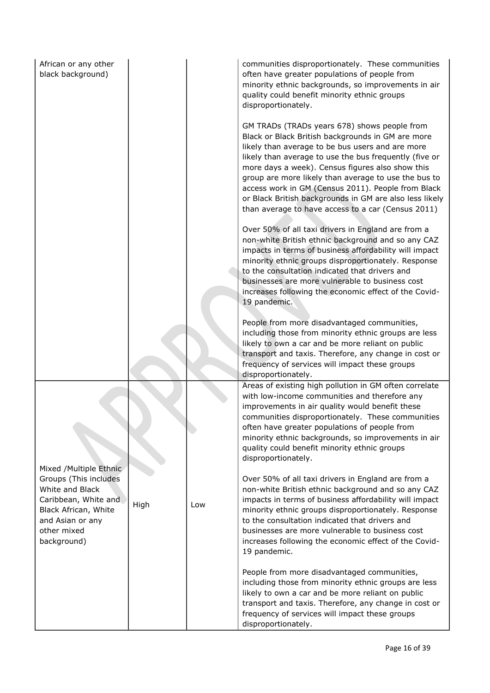| African or any other<br>black background)                                                                                                          |     |                                                                                                                                                                                                                                                                                                                                                                                                         | communities disproportionately. These communities<br>often have greater populations of people from<br>minority ethnic backgrounds, so improvements in air<br>quality could benefit minority ethnic groups<br>disproportionately.                                                                                                                                                                                                                                                                   |
|----------------------------------------------------------------------------------------------------------------------------------------------------|-----|---------------------------------------------------------------------------------------------------------------------------------------------------------------------------------------------------------------------------------------------------------------------------------------------------------------------------------------------------------------------------------------------------------|----------------------------------------------------------------------------------------------------------------------------------------------------------------------------------------------------------------------------------------------------------------------------------------------------------------------------------------------------------------------------------------------------------------------------------------------------------------------------------------------------|
|                                                                                                                                                    |     |                                                                                                                                                                                                                                                                                                                                                                                                         | GM TRADs (TRADs years 678) shows people from<br>Black or Black British backgrounds in GM are more<br>likely than average to be bus users and are more<br>likely than average to use the bus frequently (five or<br>more days a week). Census figures also show this<br>group are more likely than average to use the bus to<br>access work in GM (Census 2011). People from Black<br>or Black British backgrounds in GM are also less likely<br>than average to have access to a car (Census 2011) |
|                                                                                                                                                    |     |                                                                                                                                                                                                                                                                                                                                                                                                         | Over 50% of all taxi drivers in England are from a<br>non-white British ethnic background and so any CAZ<br>impacts in terms of business affordability will impact<br>minority ethnic groups disproportionately. Response<br>to the consultation indicated that drivers and<br>businesses are more vulnerable to business cost<br>increases following the economic effect of the Covid-<br>19 pandemic.                                                                                            |
|                                                                                                                                                    |     |                                                                                                                                                                                                                                                                                                                                                                                                         | People from more disadvantaged communities,<br>including those from minority ethnic groups are less<br>likely to own a car and be more reliant on public<br>transport and taxis. Therefore, any change in cost or<br>frequency of services will impact these groups<br>disproportionately.                                                                                                                                                                                                         |
| Mixed /Multiple Ethnic                                                                                                                             |     |                                                                                                                                                                                                                                                                                                                                                                                                         | Areas of existing high pollution in GM often correlate<br>with low-income communities and therefore any<br>improvements in air quality would benefit these<br>communities disproportionately. These communities<br>often have greater populations of people from<br>minority ethnic backgrounds, so improvements in air<br>quality could benefit minority ethnic groups<br>disproportionately.                                                                                                     |
| Groups (This includes<br>White and Black<br>Caribbean, White and<br>High<br>Black African, White<br>and Asian or any<br>other mixed<br>background) | Low | Over 50% of all taxi drivers in England are from a<br>non-white British ethnic background and so any CAZ<br>impacts in terms of business affordability will impact<br>minority ethnic groups disproportionately. Response<br>to the consultation indicated that drivers and<br>businesses are more vulnerable to business cost<br>increases following the economic effect of the Covid-<br>19 pandemic. |                                                                                                                                                                                                                                                                                                                                                                                                                                                                                                    |
|                                                                                                                                                    |     |                                                                                                                                                                                                                                                                                                                                                                                                         | People from more disadvantaged communities,<br>including those from minority ethnic groups are less<br>likely to own a car and be more reliant on public<br>transport and taxis. Therefore, any change in cost or<br>frequency of services will impact these groups<br>disproportionately.                                                                                                                                                                                                         |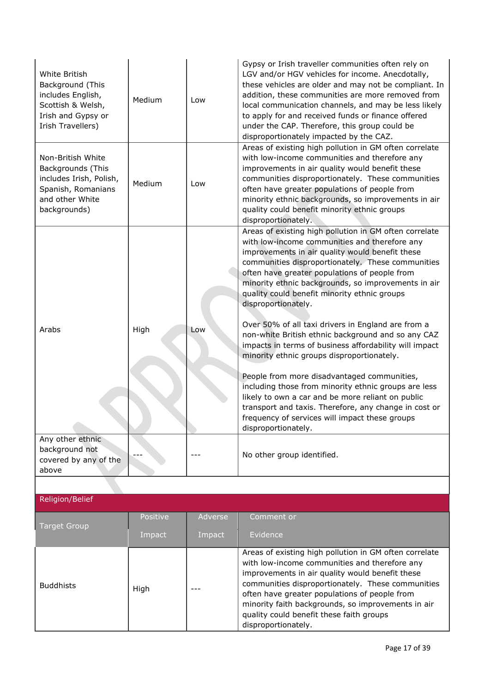| White British<br>Background (This<br>includes English,<br>Scottish & Welsh,<br>Irish and Gypsy or<br>Irish Travellers)     | Medium   | Low     | Gypsy or Irish traveller communities often rely on<br>LGV and/or HGV vehicles for income. Anecdotally,<br>these vehicles are older and may not be compliant. In<br>addition, these communities are more removed from<br>local communication channels, and may be less likely<br>to apply for and received funds or finance offered<br>under the CAP. Therefore, this group could be<br>disproportionately impacted by the CAZ.                       |
|----------------------------------------------------------------------------------------------------------------------------|----------|---------|------------------------------------------------------------------------------------------------------------------------------------------------------------------------------------------------------------------------------------------------------------------------------------------------------------------------------------------------------------------------------------------------------------------------------------------------------|
| Non-British White<br>Backgrounds (This<br>includes Irish, Polish,<br>Spanish, Romanians<br>and other White<br>backgrounds) | Medium   | Low     | Areas of existing high pollution in GM often correlate<br>with low-income communities and therefore any<br>improvements in air quality would benefit these<br>communities disproportionately. These communities<br>often have greater populations of people from<br>minority ethnic backgrounds, so improvements in air<br>quality could benefit minority ethnic groups<br>disproportionately.                                                       |
|                                                                                                                            |          |         | Areas of existing high pollution in GM often correlate<br>with low-income communities and therefore any<br>improvements in air quality would benefit these<br>communities disproportionately. These communities<br>often have greater populations of people from<br>minority ethnic backgrounds, so improvements in air<br>quality could benefit minority ethnic groups<br>disproportionately.<br>Over 50% of all taxi drivers in England are from a |
| Arabs                                                                                                                      | High     | Low     | non-white British ethnic background and so any CAZ<br>impacts in terms of business affordability will impact<br>minority ethnic groups disproportionately.                                                                                                                                                                                                                                                                                           |
|                                                                                                                            |          |         | People from more disadvantaged communities,<br>including those from minority ethnic groups are less<br>likely to own a car and be more reliant on public<br>transport and taxis. Therefore, any change in cost or<br>frequency of services will impact these groups<br>disproportionately.                                                                                                                                                           |
| Any other ethnic<br>background not<br>covered by any of the<br>above                                                       |          | ---     | No other group identified.                                                                                                                                                                                                                                                                                                                                                                                                                           |
|                                                                                                                            |          |         |                                                                                                                                                                                                                                                                                                                                                                                                                                                      |
| Religion/Belief                                                                                                            |          |         |                                                                                                                                                                                                                                                                                                                                                                                                                                                      |
| <b>Target Group</b>                                                                                                        | Positive | Adverse | Comment or                                                                                                                                                                                                                                                                                                                                                                                                                                           |
|                                                                                                                            | Impact   | Impact  | Evidence                                                                                                                                                                                                                                                                                                                                                                                                                                             |

 $Buddhists$   $\left|$  High

|  | Areas of existing high pollution in GM often correlate |
|--|--------------------------------------------------------|
|  | with low-income communities and therefore any          |
|  | improvements in air quality would benefit these        |
|  | communities disproportionately. These communities      |
|  | often have greater populations of people from          |
|  | minority faith backgrounds, so improvements in air     |
|  | quality could benefit these faith groups               |
|  | disproportionately.                                    |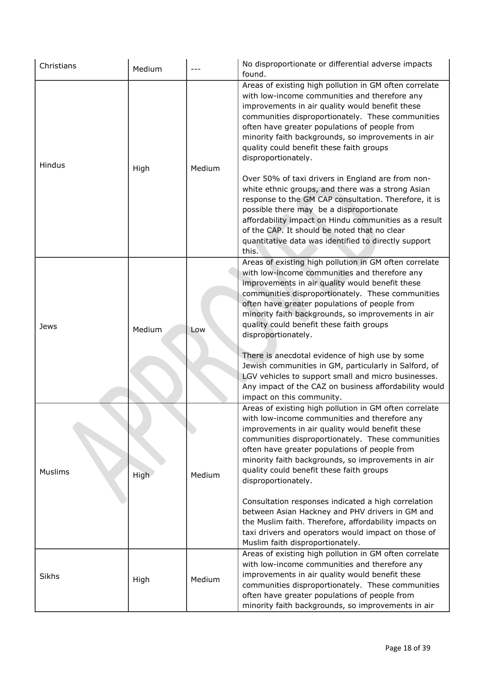| Christians     | Medium      |        | No disproportionate or differential adverse impacts<br>found.                                                                                                                                                                                                                                                                                                                                                                                                                                                                                                                                            |
|----------------|-------------|--------|----------------------------------------------------------------------------------------------------------------------------------------------------------------------------------------------------------------------------------------------------------------------------------------------------------------------------------------------------------------------------------------------------------------------------------------------------------------------------------------------------------------------------------------------------------------------------------------------------------|
| Hindus         | High        | Medium | Areas of existing high pollution in GM often correlate<br>with low-income communities and therefore any<br>improvements in air quality would benefit these<br>communities disproportionately. These communities<br>often have greater populations of people from<br>minority faith backgrounds, so improvements in air<br>quality could benefit these faith groups<br>disproportionately.<br>Over 50% of taxi drivers in England are from non-<br>white ethnic groups, and there was a strong Asian<br>response to the GM CAP consultation. Therefore, it is<br>possible there may be a disproportionate |
|                |             |        | affordability impact on Hindu communities as a result<br>of the CAP. It should be noted that no clear<br>quantitative data was identified to directly support<br>this.                                                                                                                                                                                                                                                                                                                                                                                                                                   |
| Jews           | Medium      | Low    | Areas of existing high pollution in GM often correlate<br>with low-income communities and therefore any<br>improvements in air quality would benefit these<br>communities disproportionately. These communities<br>often have greater populations of people from<br>minority faith backgrounds, so improvements in air<br>quality could benefit these faith groups<br>disproportionately.                                                                                                                                                                                                                |
|                |             |        | There is anecdotal evidence of high use by some<br>Jewish communities in GM, particularly in Salford, of<br>LGV vehicles to support small and micro businesses.<br>Any impact of the CAZ on business affordability would<br>impact on this community.                                                                                                                                                                                                                                                                                                                                                    |
| <b>Muslims</b> | <b>High</b> | Medium | Areas of existing high pollution in GM often correlate<br>with low-income communities and therefore any<br>improvements in air quality would benefit these<br>communities disproportionately. These communities<br>often have greater populations of people from<br>minority faith backgrounds, so improvements in air<br>quality could benefit these faith groups<br>disproportionately.                                                                                                                                                                                                                |
|                |             |        | Consultation responses indicated a high correlation<br>between Asian Hackney and PHV drivers in GM and<br>the Muslim faith. Therefore, affordability impacts on<br>taxi drivers and operators would impact on those of<br>Muslim faith disproportionately.                                                                                                                                                                                                                                                                                                                                               |
| <b>Sikhs</b>   | High        | Medium | Areas of existing high pollution in GM often correlate<br>with low-income communities and therefore any<br>improvements in air quality would benefit these<br>communities disproportionately. These communities<br>often have greater populations of people from<br>minority faith backgrounds, so improvements in air                                                                                                                                                                                                                                                                                   |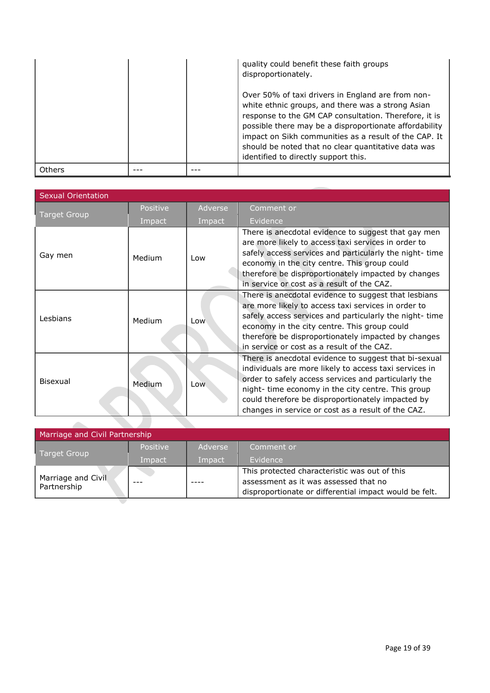|        |  | quality could benefit these faith groups<br>disproportionately.                                                                                                                                                                                                                                                                                                                   |
|--------|--|-----------------------------------------------------------------------------------------------------------------------------------------------------------------------------------------------------------------------------------------------------------------------------------------------------------------------------------------------------------------------------------|
|        |  | Over 50% of taxi drivers in England are from non-<br>white ethnic groups, and there was a strong Asian<br>response to the GM CAP consultation. Therefore, it is<br>possible there may be a disproportionate affordability<br>impact on Sikh communities as a result of the CAP. It<br>should be noted that no clear quantitative data was<br>identified to directly support this. |
| Others |  |                                                                                                                                                                                                                                                                                                                                                                                   |

| <b>Sexual Orientation</b> |          |            |                                                                                                                                                                                                                                                                                                                                          |
|---------------------------|----------|------------|------------------------------------------------------------------------------------------------------------------------------------------------------------------------------------------------------------------------------------------------------------------------------------------------------------------------------------------|
|                           | Positive | Adverse    | Comment or                                                                                                                                                                                                                                                                                                                               |
| <b>Target Group</b>       | Impact   | Impact     | Evidence                                                                                                                                                                                                                                                                                                                                 |
| Gay men                   | Medium   | Low        | There is anecdotal evidence to suggest that gay men<br>are more likely to access taxi services in order to<br>safely access services and particularly the night-time<br>economy in the city centre. This group could<br>therefore be disproportionately impacted by changes<br>in service or cost as a result of the CAZ.                |
| Lesbians                  | Medium   | Low        | There is anecdotal evidence to suggest that lesbians<br>are more likely to access taxi services in order to<br>safely access services and particularly the night- time<br>economy in the city centre. This group could<br>therefore be disproportionately impacted by changes<br>in service or cost as a result of the CAZ.              |
| Bisexual                  | Medium   | <b>Low</b> | There is anecdotal evidence to suggest that bi-sexual<br>individuals are more likely to access taxi services in<br>order to safely access services and particularly the<br>night- time economy in the city centre. This group<br>could therefore be disproportionately impacted by<br>changes in service or cost as a result of the CAZ. |

|                                   | Marriage and Civil Partnership |         |                                                                                                                                                  |  |  |
|-----------------------------------|--------------------------------|---------|--------------------------------------------------------------------------------------------------------------------------------------------------|--|--|
|                                   | <b>Positive</b>                | Adverse | Comment or                                                                                                                                       |  |  |
| Target Group                      | Impact                         | Impact  | Evidence                                                                                                                                         |  |  |
| Marriage and Civil<br>Partnership |                                |         | This protected characteristic was out of this<br>assessment as it was assessed that no<br>disproportionate or differential impact would be felt. |  |  |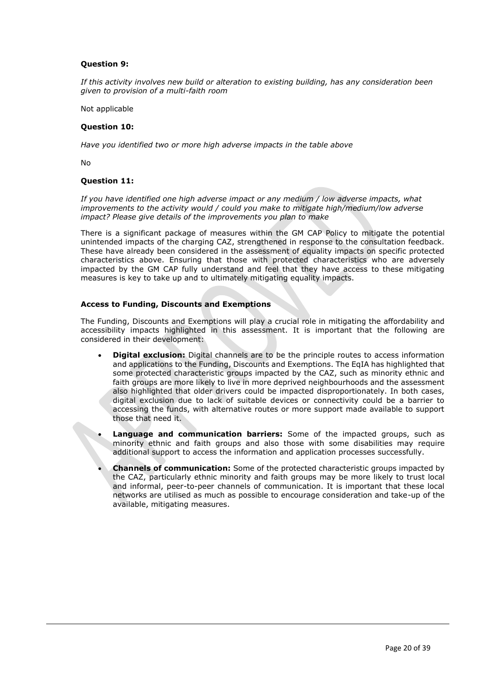#### **Question 9:**

*If this activity involves new build or alteration to existing building, has any consideration been given to provision of a multi-faith room*

Not applicable

#### **Question 10:**

*Have you identified two or more high adverse impacts in the table above*

No

#### **Question 11:**

*If you have identified one high adverse impact or any medium / low adverse impacts, what improvements to the activity would / could you make to mitigate high/medium/low adverse impact? Please give details of the improvements you plan to make*

There is a significant package of measures within the GM CAP Policy to mitigate the potential unintended impacts of the charging CAZ, strengthened in response to the consultation feedback. These have already been considered in the assessment of equality impacts on specific protected characteristics above. Ensuring that those with protected characteristics who are adversely impacted by the GM CAP fully understand and feel that they have access to these mitigating measures is key to take up and to ultimately mitigating equality impacts.

#### **Access to Funding, Discounts and Exemptions**

The Funding, Discounts and Exemptions will play a crucial role in mitigating the affordability and accessibility impacts highlighted in this assessment. It is important that the following are considered in their development:

- **Digital exclusion:** Digital channels are to be the principle routes to access information and applications to the Funding, Discounts and Exemptions. The EqIA has highlighted that some protected characteristic groups impacted by the CAZ, such as minority ethnic and faith groups are more likely to live in more deprived neighbourhoods and the assessment also highlighted that older drivers could be impacted disproportionately. In both cases, digital exclusion due to lack of suitable devices or connectivity could be a barrier to accessing the funds, with alternative routes or more support made available to support those that need it.
- **Language and communication barriers:** Some of the impacted groups, such as minority ethnic and faith groups and also those with some disabilities may require additional support to access the information and application processes successfully.
- **Channels of communication:** Some of the protected characteristic groups impacted by the CAZ, particularly ethnic minority and faith groups may be more likely to trust local and informal, peer-to-peer channels of communication. It is important that these local networks are utilised as much as possible to encourage consideration and take-up of the available, mitigating measures.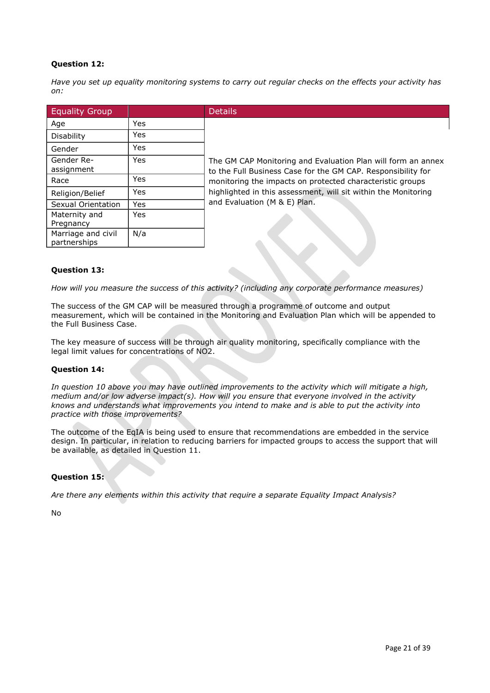# **Question 12:**

*Have you set up equality monitoring systems to carry out regular checks on the effects your activity has on:*

| <b>Equality Group</b>              |            | <b>Details</b>                                                                                                               |
|------------------------------------|------------|------------------------------------------------------------------------------------------------------------------------------|
| Age                                | <b>Yes</b> |                                                                                                                              |
| <b>Disability</b>                  | Yes        |                                                                                                                              |
| Gender                             | <b>Yes</b> |                                                                                                                              |
| Gender Re-<br>assignment           | <b>Yes</b> | The GM CAP Monitoring and Evaluation Plan will form an annex<br>to the Full Business Case for the GM CAP. Responsibility for |
| Race                               | <b>Yes</b> | monitoring the impacts on protected characteristic groups                                                                    |
| Religion/Belief                    | Yes        | highlighted in this assessment, will sit within the Monitoring                                                               |
| Sexual Orientation                 | <b>Yes</b> | and Evaluation (M & E) Plan.                                                                                                 |
| Maternity and<br>Pregnancy         | Yes        |                                                                                                                              |
| Marriage and civil<br>partnerships | N/a        |                                                                                                                              |

#### **Question 13:**

*How will you measure the success of this activity? (including any corporate performance measures)*

The success of the GM CAP will be measured through a programme of outcome and output measurement, which will be contained in the Monitoring and Evaluation Plan which will be appended to the Full Business Case.

The key measure of success will be through air quality monitoring, specifically compliance with the legal limit values for concentrations of NO2.

# **Question 14:**

*In question 10 above you may have outlined improvements to the activity which will mitigate a high, medium and/or low adverse impact(s). How will you ensure that everyone involved in the activity knows and understands what improvements you intend to make and is able to put the activity into practice with those improvements?*

The outcome of the EqIA is being used to ensure that recommendations are embedded in the service design. In particular, in relation to reducing barriers for impacted groups to access the support that will be available, as detailed in Question 11.

#### **Question 15:**

*Are there any elements within this activity that require a separate Equality Impact Analysis?*

No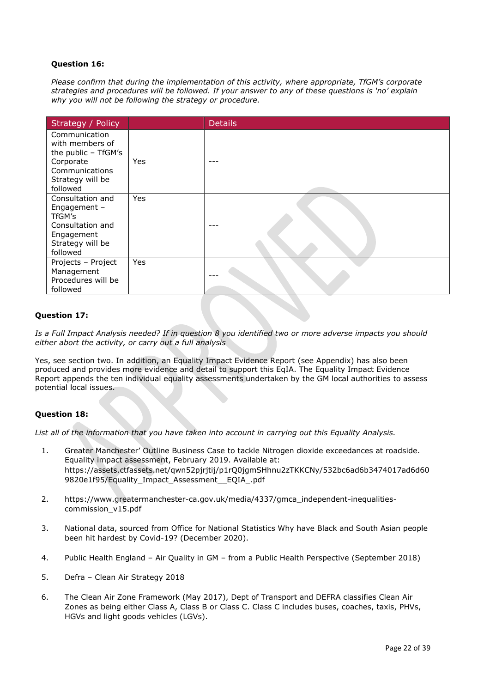# **Question 16:**

*Please confirm that during the implementation of this activity, where appropriate, TfGM's corporate strategies and procedures will be followed. If your answer to any of these questions is 'no' explain why you will not be following the strategy or procedure.*

| Strategy / Policy                                                                                                      |     | <b>Details</b> |
|------------------------------------------------------------------------------------------------------------------------|-----|----------------|
| Communication<br>with members of<br>the public - TfGM's<br>Corporate<br>Communications<br>Strategy will be<br>followed | Yes |                |
| Consultation and<br>Engagement -<br>TfGM's<br>Consultation and<br>Engagement<br>Strategy will be<br>followed           | Yes |                |
| Projects - Project<br>Management<br>Procedures will be<br>followed                                                     | Yes |                |

# **Question 17:**

*Is a Full Impact Analysis needed? If in question 8 you identified two or more adverse impacts you should either abort the activity, or carry out a full analysis*

Yes, see section two. In addition, an Equality Impact Evidence Report (see Appendix) has also been produced and provides more evidence and detail to support this EqIA. The Equality Impact Evidence Report appends the ten individual equality assessments undertaken by the GM local authorities to assess potential local issues.

#### **Question 18:**

*List all of the information that you have taken into account in carrying out this Equality Analysis.*

- 1. Greater Manchester' Outline Business Case to tackle Nitrogen dioxide exceedances at roadside. Equality impact assessment, February 2019. Available at: https://assets.ctfassets.net/qwn52pjrjtij/p1rQ0jgmSHhnu2zTKKCNy/532bc6ad6b3474017ad6d60 9820e1f95/Equality\_Impact\_Assessment\_\_EQIA\_.pdf
- 2. https://www.greatermanchester-ca.gov.uk/media/4337/gmca\_independent-inequalitiescommission\_v15.pdf
- 3. National data, sourced from Office for National Statistics Why have Black and South Asian people been hit hardest by Covid-19? (December 2020).
- 4. Public Health England Air Quality in GM from a Public Health Perspective (September 2018)
- 5. Defra [Clean Air Strategy 2018](https://consult.defra.gov.uk/environmental-quality/clean-air-strategy-consultation/user_uploads/clean-air-strategy-2018-consultation.pdf)
- 6. The Clean Air Zone Framework (May 2017), Dept of Transport and DEFRA classifies Clean Air Zones as being either Class A, Class B or Class C. Class C includes buses, coaches, taxis, PHVs, HGVs and light goods vehicles (LGVs).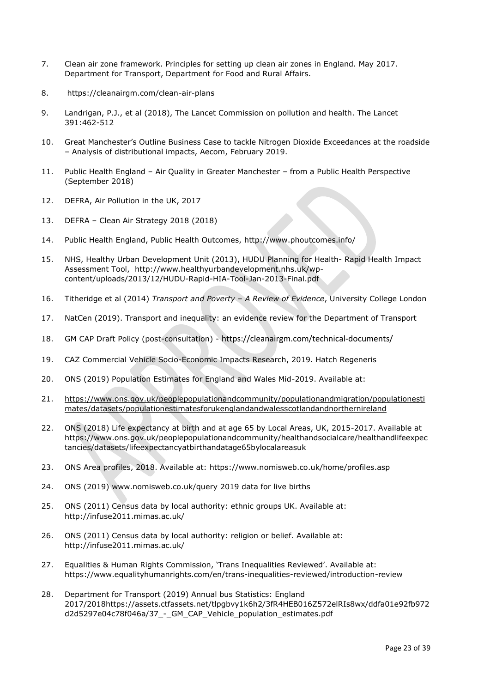- 7. Clean air zone framework. Principles for setting up clean air zones in England. May 2017. Department for Transport, Department for Food and Rural Affairs.
- 8. <https://cleanairgm.com/clean-air-plans>
- 9. Landrigan, P.J., et al (2018), The Lancet Commission on pollution and health. The Lancet 391:462-512
- 10. Great Manchester's Outline Business Case to tackle Nitrogen Dioxide Exceedances at the roadside – Analysis of distributional impacts, Aecom, February 2019.
- 11. Public Health England Air Quality in Greater Manchester from a Public Health Perspective (September 2018)
- 12. DEFRA, Air Pollution in the UK, 2017
- 13. DEFRA [Clean Air Strategy 2018](https://secure-web.cisco.com/1jDZwTIn_tqLVG_3AuhtNAcjCChtK_-Ua04Xf0W63-SKer6lq__GTvrXonSTR8y2fyceA676vc9xsl4h9C0YCFRzz1uqrZa6il9KnKDbbDUWG3R3cndWjmg8SMWyS0Lxsms8c-kzo_u9dhwafxavYwChQa8M1Gd0QOco_iTY4nWFvcXeYz-S4UqMoxM7oDTf2iPAof5IsXs10_Fk9BKpy37hW-pLO28lCZ5qkkUGdSLx05cWOL-IylWhKI-_tdq_BoZs9KF8uOV7RDVsCsQLzjhgf26Xt8t_8ty-sAwTI0LDHd-h9vMsU1BKsn7z9Mqlnkr8wLydZyVeZ80_kXPviKw/https%3A%2F%2Fconsult.defra.gov.uk%2Fenvironmental-quality%2Fclean-air-strategy-consultation%2Fuser_uploads%2Fclean-air-strategy-2018-consultation.pdf) (2018)
- 14. Public Health England, Public Health Outcomes,<http://www.phoutcomes.info/>
- 15. NHS, Healthy Urban Development Unit (2013), HUDU Planning for Health- Rapid Health Impact Assessment Tool, [http://www.healthyurbandevelopment.nhs.uk/wp](http://www.healthyurbandevelopment.nhs.uk/wp-content/uploads/2013/12/HUDU-Rapid-HIA-Tool-Jan-2013-Final.pdf)[content/uploads/2013/12/HUDU-Rapid-HIA-Tool-Jan-2013-Final.pdf](http://www.healthyurbandevelopment.nhs.uk/wp-content/uploads/2013/12/HUDU-Rapid-HIA-Tool-Jan-2013-Final.pdf)
- 16. Titheridge et al (2014) *Transport and Poverty – A Review of Evidence*, University College London
- 17. NatCen (2019). Transport and inequality: an evidence review for the Department of Transport
- 18. GM CAP Draft Policy (post-consultation) [https://cleanairgm.com/technical-documents/](https://secure-web.cisco.com/11eiBCgElauzNx9ZLncgJx3iOubmp4VtcvvkdlhxY65RKvTbIb59-L2ncr8SElltrd2x-6LbEl4KMsTTxIe3wkMOtRdF_mwDnnUw_pzGQZOwSRIhPJyQIZ8Yp6BpEAcNSn8Ts-zUMkCwwKuuZ6JqlhO90pJazjetwe6gKhLVIM_BswP0PQmXUeuqGyGpWdmieI8qM86OywsW2Ih1TXBkADjvPWBAW0J67oLJLyOi-5a-P-uw5qxFWy4jV1Rgj27aX74mWEA8RmcCJF_QiJniWV9Y7vnNRmfIdielNKILyTnV3ChPut5AXlpom2ThMoaDynN4YcMw9M5bXrEI6WdmDFg/https%3A%2F%2Furl4.mailanyone.net%2Fv1%2F%3Fm%3D1lqaQa-0007kg-3t%26i%3D57e1b682%26c%3Dwx7pouswT3bJs4LPeETsz86q7Q_0OC56XXhe7DlJDibGRSGR8fdmSomeuSdI7C2Fa0eQbaAqoLXhP95flvC3e_rUhnBjBiD8llf9LaF4ZtCjfFRgnR8YVM3huSJaCGnICk94fttlvHc5puWw5cDJWXKncROEJUpzHqnxCBOtlS83l3-sjgML-pIcbUhAQZELxzuJu6c3812_3lnwQAbyYwgocO5Fara8d5TyMQqiWW6tNZcZXXghiSlVoISAGQRmsZ-TU8nVqIdM3Z7LyV0OBSLL4yenFqLa1SDyZM36c6L9Rv_9RwvC_zO8-ja9EEmp3RuaxQ4iKqu8pID_qRBxLRB9hKR0Yp8TjK3AxZQfI6W6JX6ff_FKZIssUgNuX4h8fgWjXtS31MSzgcKKD5htCOS8RNiJG7hqFaezCADs1zqfd5YI5KwtXyQV8Xcw9c04dqUU3rtH6b_zGkplrYZzi_tw5Uh0gVH_yDQ0aze-YmaYOmPe-7DcIOn3tcJzyPAzyNqQZKCfP-i1oh349NtnaY_1gjK4qs0hRBa9R9D0kEGpaGRFokA16JTCjrnHuvRgs7DcM7Fi3nDdrs6xiFxYb34O5EIVstmWMeA67C4pmsqoQ4hX3-rUnQd3vI35GAzQJzJxEsp-QxLb4UU4coOA_r80VNAaur_GF4G4X8lvmN0gEZ3Wu5QzUhFNsj4TCOgSucH17LnJrJVLTZfksCAbTQ)
- 19. CAZ Commercial Vehicle Socio-Economic Impacts Research, 2019. Hatch Regeneris
- 20. ONS (2019) Population Estimates for England and Wales Mid-2019. Available at:
- 21. [https://www.ons.gov.uk/peoplepopulationandcommunity/populationandmigration/populationesti](https://www.ons.gov.uk/peoplepopulationandcommunity/populationandmigration/populationestimates/datasets/populationestimatesforukenglandandwalesscotlandandnorthernireland) [mates/datasets/populationestimatesforukenglandandwalesscotlandandnorthernireland](https://www.ons.gov.uk/peoplepopulationandcommunity/populationandmigration/populationestimates/datasets/populationestimatesforukenglandandwalesscotlandandnorthernireland)
- 22. ONS (2018) Life expectancy at birth and at age 65 by Local Areas, UK, 2015-2017. Available at [https://www.ons.gov.uk/peoplepopulationandcommunity/healthandsocialcare/healthandlifeexpec](https://www.ons.gov.uk/peoplepopulationandcommunity/healthandsocialcare/healthandlifeexpectancies/datasets/lifeexpectancyatbirthandatage65bylocalareasuk) [tancies/datasets/lifeexpectancyatbirthandatage65bylocalareasuk](https://www.ons.gov.uk/peoplepopulationandcommunity/healthandsocialcare/healthandlifeexpectancies/datasets/lifeexpectancyatbirthandatage65bylocalareasuk)
- 23. ONS Area profiles, 2018. Available at:<https://www.nomisweb.co.uk/home/profiles.asp>
- 24. ONS (2019) [www.nomisweb.co.uk/query](http://www.nomisweb.co.uk/query) 2019 data for live births
- 25. ONS (2011) Census data by local authority: ethnic groups UK. Available at: <http://infuse2011.mimas.ac.uk/>
- 26. ONS (2011) Census data by local authority: religion or belief. Available at: <http://infuse2011.mimas.ac.uk/>
- 27. Equalities & Human Rights Commission, 'Trans Inequalities Reviewed'. Available at: <https://www.equalityhumanrights.com/en/trans-inequalities-reviewed/introduction-review>
- 28. Department for Transport (2019) Annual bus Statistics: England 2017/2018https://assets.ctfassets.net/tlpgbvy1k6h2/3fR4HEB016Z572elRIs8wx/ddfa01e92fb972 d2d5297e04c78f046a/37\_-\_GM\_CAP\_Vehicle\_population\_estimates.pdf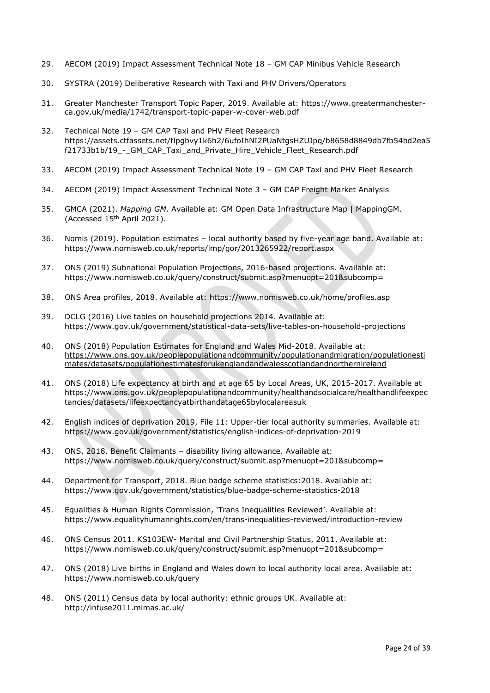- 29. AECOM (2019) Impact Assessment Technical Note 18 GM CAP Minibus Vehicle Research
- 30. SYSTRA (2019) Deliberative Research with Taxi and PHV Drivers/Operators
- 31. Greater Manchester Transport Topic Paper, 2019. Available at: [https://www.greatermanchester](https://www.greatermanchester-ca.gov.uk/media/1742/transport-topic-paper-w-cover-web.pdf)[ca.gov.uk/media/1742/transport-topic-paper-w-cover-web.pdf](https://www.greatermanchester-ca.gov.uk/media/1742/transport-topic-paper-w-cover-web.pdf)
- 32. Technical Note 19 GM CAP Taxi and PHV Fleet Research https://assets.ctfassets.net/tlpgbvy1k6h2/6ufoIhNI2PUaNtgsHZUJpq/b8658d8849db7fb54bd2ea5 f21733b1b/19\_-\_GM\_CAP\_Taxi\_and\_Private\_Hire\_Vehicle\_Fleet\_Research.pdf
- 33. AECOM (2019) Impact Assessment Technical Note 19 GM CAP Taxi and PHV Fleet Research
- 34. AECOM (2019) Impact Assessment Technical Note 3 GM CAP Freight Market Analysis
- 35. GMCA (2021). *Mapping GM*. Available at: [GM Open Data Infrastructure Map | MappingGM.](https://mappinggm.org.uk/gmodin/?lyrs=gm_boundaries,v_ons_imd_2019,aqmas_gm#os_maps_light/13/53.5700/-2.4417) (Accessed 15th April 2021).
- 36. Nomis (2019). Population estimates local authority based by five-year age band. Available at: <https://www.nomisweb.co.uk/reports/lmp/gor/2013265922/report.aspx>
- 37. ONS (2019) Subnational Population Projections, 2016-based projections. Available at: [https://www.nomisweb.co.uk/query/construct/submit.asp?menuopt=201&subcomp=](https://www.nomisweb.co.uk/query/construct/submit.asp?menuopt=201&subcomp)
- 38. ONS Area profiles, 2018. Available at:<https://www.nomisweb.co.uk/home/profiles.asp>
- 39. DCLG (2016) Live tables on household projections 2014. Available at: <https://www.gov.uk/government/statistical-data-sets/live-tables-on-household-projections>
- 40. ONS (2018) Population Estimates for England and Wales Mid-2018. Available at: [https://www.ons.gov.uk/peoplepopulationandcommunity/populationandmigration/populationesti](https://www.ons.gov.uk/peoplepopulationandcommunity/populationandmigration/populationestimates/datasets/populationestimatesforukenglandandwalesscotlandandnorthernireland) [mates/datasets/populationestimatesforukenglandandwalesscotlandandnorthernireland](https://www.ons.gov.uk/peoplepopulationandcommunity/populationandmigration/populationestimates/datasets/populationestimatesforukenglandandwalesscotlandandnorthernireland)
- 41. ONS (2018) Life expectancy at birth and at age 65 by Local Areas, UK, 2015-2017. Available at [https://www.ons.gov.uk/peoplepopulationandcommunity/healthandsocialcare/healthandlifeexpec](https://www.ons.gov.uk/peoplepopulationandcommunity/healthandsocialcare/healthandlifeexpectancies/datasets/lifeexpectancyatbirthandatage65bylocalareasuk) [tancies/datasets/lifeexpectancyatbirthandatage65bylocalareasuk](https://www.ons.gov.uk/peoplepopulationandcommunity/healthandsocialcare/healthandlifeexpectancies/datasets/lifeexpectancyatbirthandatage65bylocalareasuk)
- 42. English indices of deprivation 2019, File 11: Upper-tier local authority summaries. Available at: <https://www.gov.uk/government/statistics/english-indices-of-deprivation-2019>
- 43. ONS, 2018. Benefit Claimants disability living allowance. Available at: [https://www.nomisweb.co.uk/query/construct/submit.asp?menuopt=201&subcomp=](https://www.nomisweb.co.uk/query/construct/submit.asp?menuopt=201&subcomp)
- 44. Department for Transport, 2018. Blue badge scheme statistics:2018. Available at: <https://www.gov.uk/government/statistics/blue-badge-scheme-statistics-2018>
- 45. Equalities & Human Rights Commission, 'Trans Inequalities Reviewed'. Available at: <https://www.equalityhumanrights.com/en/trans-inequalities-reviewed/introduction-review>
- 46. ONS Census 2011. KS103EW- Marital and Civil Partnership Status, 2011. Available at: [https://www.nomisweb.co.uk/query/construct/submit.asp?menuopt=201&subcomp=](https://www.nomisweb.co.uk/query/construct/submit.asp?menuopt=201&subcomp)
- 47. ONS (2018) Live births in England and Wales down to local authority local area. Available at: <https://www.nomisweb.co.uk/query>
- 48. ONS (2011) Census data by local authority: ethnic groups UK. Available at: <http://infuse2011.mimas.ac.uk/>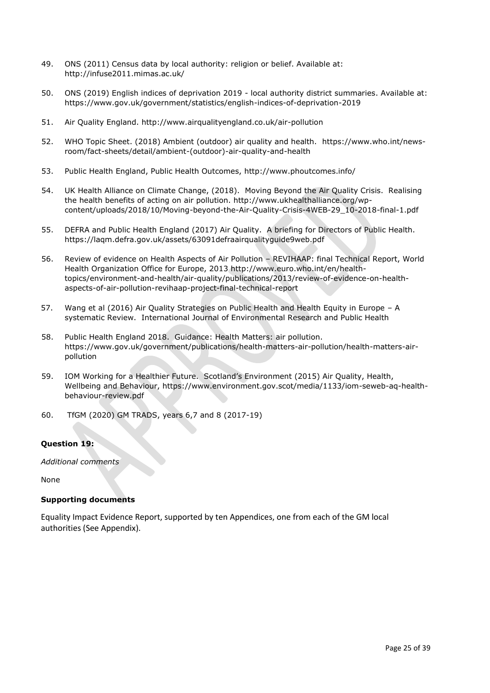- 49. ONS (2011) Census data by local authority: religion or belief. Available at: <http://infuse2011.mimas.ac.uk/>
- 50. ONS (2019) English indices of deprivation 2019 [local authority district summaries.](https://assets.publishing.service.gov.uk/government/uploads/system/uploads/attachment_data/file/833995/File_10_-_IoD2019_Local_Authority_District_Summaries__lower-tier__.xlsx) Available at: <https://www.gov.uk/government/statistics/english-indices-of-deprivation-2019>
- 51. Air Quality England. http://www.airqualityengland.co.uk/air-pollution
- 52. WHO Topic Sheet. (2018) Ambient (outdoor) air quality and health. [https://www.who.int/news](https://www.who.int/news-room/fact-sheets/detail/ambient-(outdoor)-air-quality-and-health)[room/fact-sheets/detail/ambient-\(outdoor\)-air-quality-and-health](https://www.who.int/news-room/fact-sheets/detail/ambient-(outdoor)-air-quality-and-health)
- 53. Public Health England, Public Health Outcomes,<http://www.phoutcomes.info/>
- 54. UK Health Alliance on Climate Change, (2018). Moving Beyond the Air Quality Crisis. Realising the health benefits of acting on air pollution. [http://www.ukhealthalliance.org/wp](http://www.ukhealthalliance.org/wp-content/uploads/2018/10/Moving-beyond-the-Air-Quality-Crisis-4WEB-29_10-2018-final-1.pdf)[content/uploads/2018/10/Moving-beyond-the-Air-Quality-Crisis-4WEB-29\\_10-2018-final-1.pdf](http://www.ukhealthalliance.org/wp-content/uploads/2018/10/Moving-beyond-the-Air-Quality-Crisis-4WEB-29_10-2018-final-1.pdf)
- 55. DEFRA and Public Health England (2017) Air Quality. A briefing for Directors of Public Health. <https://laqm.defra.gov.uk/assets/63091defraairqualityguide9web.pdf>
- 56. Review of evidence on Health Aspects of Air Pollution REVIHAAP: final Technical Report, World Health Organization Office for Europe, 2013 [http://www.euro.who.int/en/health](http://www.euro.who.int/en/health-topics/environment-and-health/air-quality/publications/2013/review-of-evidence-on-health-aspects-of-air-pollution-revihaap-project-final-technical-report)[topics/environment-and-health/air-quality/publications/2013/review-of-evidence-on-health](http://www.euro.who.int/en/health-topics/environment-and-health/air-quality/publications/2013/review-of-evidence-on-health-aspects-of-air-pollution-revihaap-project-final-technical-report)[aspects-of-air-pollution-revihaap-project-final-technical-report](http://www.euro.who.int/en/health-topics/environment-and-health/air-quality/publications/2013/review-of-evidence-on-health-aspects-of-air-pollution-revihaap-project-final-technical-report)
- 57. Wang et al (2016) Air Quality Strategies on Public Health and Health Equity in Europe A systematic Review. International Journal of Environmental Research and Public Health
- 58. Public Health England 2018. Guidance: Health Matters: air pollution. [https://www.gov.uk/government/publications/health-matters-air-pollution/health-matters-air](https://www.gov.uk/government/publications/health-matters-air-pollution/health-matters-air-pollution)[pollution](https://www.gov.uk/government/publications/health-matters-air-pollution/health-matters-air-pollution)
- 59. IOM Working for a Healthier Future. Scotland's Environment (2015) Air Quality, Health, Wellbeing and Behaviour, [https://www.environment.gov.scot/media/1133/iom-seweb-aq-health](https://www.environment.gov.scot/media/1133/iom-seweb-aq-health-behaviour-review.pdf)[behaviour-review.pdf](https://www.environment.gov.scot/media/1133/iom-seweb-aq-health-behaviour-review.pdf)
- 60. TfGM (2020) GM TRADS, years 6,7 and 8 (2017-19)

# **Question 19:**

*Additional comments*

None

# **Supporting documents**

Equality Impact Evidence Report, supported by ten Appendices, one from each of the GM local authorities (See Appendix).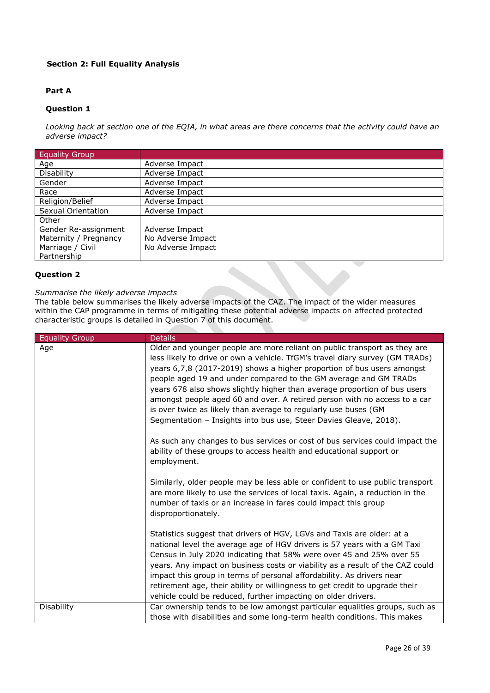# **Section 2: Full Equality Analysis**

# **Part A**

# **Question 1**

*Looking back at section one of the EQIA, in what areas are there concerns that the activity could have an adverse impact?*

| <b>Equality Group</b> |                   |
|-----------------------|-------------------|
| Age                   | Adverse Impact    |
| <b>Disability</b>     | Adverse Impact    |
| Gender                | Adverse Impact    |
| Race                  | Adverse Impact    |
| Religion/Belief       | Adverse Impact    |
| Sexual Orientation    | Adverse Impact    |
| Other                 |                   |
| Gender Re-assignment  | Adverse Impact    |
| Maternity / Pregnancy | No Adverse Impact |
| Marriage / Civil      | No Adverse Impact |
| Partnership           |                   |

#### **Question 2**

#### *Summarise the likely adverse impacts*

The table below summarises the likely adverse impacts of the CAZ. The impact of the wider measures within the CAP programme in terms of mitigating these potential adverse impacts on affected protected characteristic groups is detailed in Question 7 of this document.

| <b>Equality Group</b> | <b>Details</b>                                                                                                                                                                                                                                                                                                                                                                                                                                                                                                                                                                                            |
|-----------------------|-----------------------------------------------------------------------------------------------------------------------------------------------------------------------------------------------------------------------------------------------------------------------------------------------------------------------------------------------------------------------------------------------------------------------------------------------------------------------------------------------------------------------------------------------------------------------------------------------------------|
| Age                   | Older and younger people are more reliant on public transport as they are<br>less likely to drive or own a vehicle. TfGM's travel diary survey (GM TRADs)<br>years 6,7,8 (2017-2019) shows a higher proportion of bus users amongst<br>people aged 19 and under compared to the GM average and GM TRADs<br>years 678 also shows slightly higher than average proportion of bus users<br>amongst people aged 60 and over. A retired person with no access to a car<br>is over twice as likely than average to regularly use buses (GM<br>Segmentation - Insights into bus use, Steer Davies Gleave, 2018). |
|                       | As such any changes to bus services or cost of bus services could impact the<br>ability of these groups to access health and educational support or<br>employment.                                                                                                                                                                                                                                                                                                                                                                                                                                        |
|                       | Similarly, older people may be less able or confident to use public transport<br>are more likely to use the services of local taxis. Again, a reduction in the<br>number of taxis or an increase in fares could impact this group<br>disproportionately.                                                                                                                                                                                                                                                                                                                                                  |
|                       | Statistics suggest that drivers of HGV, LGVs and Taxis are older: at a<br>national level the average age of HGV drivers is 57 years with a GM Taxi<br>Census in July 2020 indicating that 58% were over 45 and 25% over 55<br>years. Any impact on business costs or viability as a result of the CAZ could<br>impact this group in terms of personal affordability. As drivers near<br>retirement age, their ability or willingness to get credit to upgrade their<br>vehicle could be reduced, further impacting on older drivers.                                                                      |
| Disability            | Car ownership tends to be low amongst particular equalities groups, such as<br>those with disabilities and some long-term health conditions. This makes                                                                                                                                                                                                                                                                                                                                                                                                                                                   |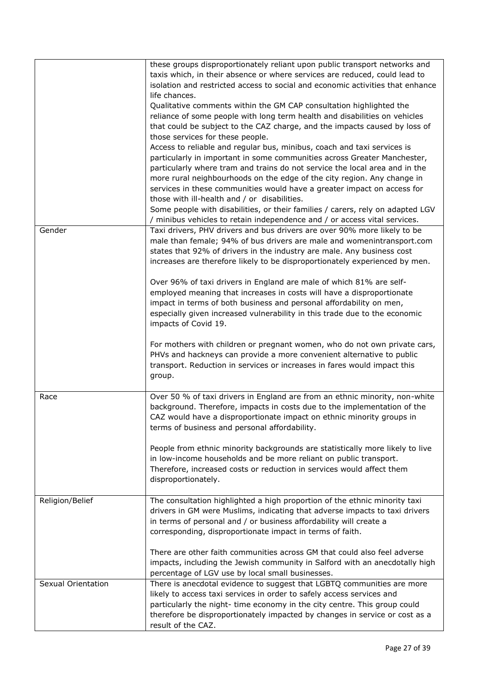|                    | these groups disproportionately reliant upon public transport networks and     |
|--------------------|--------------------------------------------------------------------------------|
|                    | taxis which, in their absence or where services are reduced, could lead to     |
|                    |                                                                                |
|                    | isolation and restricted access to social and economic activities that enhance |
|                    | life chances.                                                                  |
|                    | Qualitative comments within the GM CAP consultation highlighted the            |
|                    | reliance of some people with long term health and disabilities on vehicles     |
|                    | that could be subject to the CAZ charge, and the impacts caused by loss of     |
|                    | those services for these people.                                               |
|                    | Access to reliable and regular bus, minibus, coach and taxi services is        |
|                    | particularly in important in some communities across Greater Manchester,       |
|                    |                                                                                |
|                    | particularly where tram and trains do not service the local area and in the    |
|                    | more rural neighbourhoods on the edge of the city region. Any change in        |
|                    | services in these communities would have a greater impact on access for        |
|                    | those with ill-health and / or disabilities.                                   |
|                    | Some people with disabilities, or their families / carers, rely on adapted LGV |
|                    | / minibus vehicles to retain independence and / or access vital services.      |
| Gender             | Taxi drivers, PHV drivers and bus drivers are over 90% more likely to be       |
|                    | male than female; 94% of bus drivers are male and womenintransport.com         |
|                    | states that 92% of drivers in the industry are male. Any business cost         |
|                    |                                                                                |
|                    | increases are therefore likely to be disproportionately experienced by men.    |
|                    |                                                                                |
|                    | Over 96% of taxi drivers in England are male of which 81% are self-            |
|                    | employed meaning that increases in costs will have a disproportionate          |
|                    | impact in terms of both business and personal affordability on men,            |
|                    | especially given increased vulnerability in this trade due to the economic     |
|                    | impacts of Covid 19.                                                           |
|                    |                                                                                |
|                    | For mothers with children or pregnant women, who do not own private cars,      |
|                    | PHVs and hackneys can provide a more convenient alternative to public          |
|                    |                                                                                |
|                    | transport. Reduction in services or increases in fares would impact this       |
|                    | group.                                                                         |
|                    |                                                                                |
| Race               | Over 50 % of taxi drivers in England are from an ethnic minority, non-white    |
|                    | background. Therefore, impacts in costs due to the implementation of the       |
|                    | CAZ would have a disproportionate impact on ethnic minority groups in          |
|                    | terms of business and personal affordability.                                  |
|                    |                                                                                |
|                    | People from ethnic minority backgrounds are statistically more likely to live  |
|                    | in low-income households and be more reliant on public transport.              |
|                    | Therefore, increased costs or reduction in services would affect them          |
|                    |                                                                                |
|                    | disproportionately.                                                            |
|                    |                                                                                |
| Religion/Belief    | The consultation highlighted a high proportion of the ethnic minority taxi     |
|                    | drivers in GM were Muslims, indicating that adverse impacts to taxi drivers    |
|                    | in terms of personal and / or business affordability will create a             |
|                    | corresponding, disproportionate impact in terms of faith.                      |
|                    |                                                                                |
|                    | There are other faith communities across GM that could also feel adverse       |
|                    | impacts, including the Jewish community in Salford with an anecdotally high    |
|                    | percentage of LGV use by local small businesses.                               |
| Sexual Orientation |                                                                                |
|                    | There is anecdotal evidence to suggest that LGBTQ communities are more         |
|                    | likely to access taxi services in order to safely access services and          |
|                    | particularly the night- time economy in the city centre. This group could      |
|                    | therefore be disproportionately impacted by changes in service or cost as a    |
|                    | result of the CAZ.                                                             |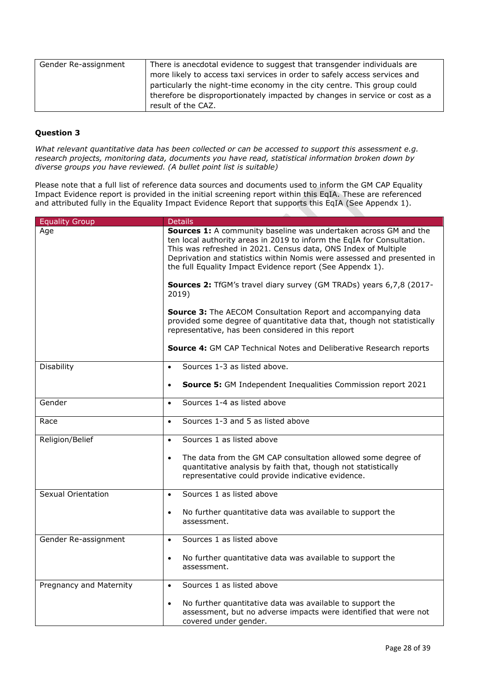| Gender Re-assignment | There is anecdotal evidence to suggest that transgender individuals are     |
|----------------------|-----------------------------------------------------------------------------|
|                      | more likely to access taxi services in order to safely access services and  |
|                      | particularly the night-time economy in the city centre. This group could    |
|                      | therefore be disproportionately impacted by changes in service or cost as a |
|                      | result of the CAZ.                                                          |

*What relevant quantitative data has been collected or can be accessed to support this assessment e.g. research projects, monitoring data, documents you have read, statistical information broken down by diverse groups you have reviewed. (A bullet point list is suitable)*

Please note that a full list of reference data sources and documents used to inform the GM CAP Equality Impact Evidence report is provided in the initial screening report within this EqIA. These are referenced and attributed fully in the Equality Impact Evidence Report that supports this EqIA (See Appendx 1).

| <b>Equality Group</b>     | <b>Details</b>                                                                                                                                                                                                                                                                                                                                      |
|---------------------------|-----------------------------------------------------------------------------------------------------------------------------------------------------------------------------------------------------------------------------------------------------------------------------------------------------------------------------------------------------|
| Age                       | Sources 1: A community baseline was undertaken across GM and the<br>ten local authority areas in 2019 to inform the EqIA for Consultation.<br>This was refreshed in 2021. Census data, ONS Index of Multiple<br>Deprivation and statistics within Nomis were assessed and presented in<br>the full Equality Impact Evidence report (See Appendx 1). |
|                           | Sources 2: TfGM's travel diary survey (GM TRADs) years 6,7,8 (2017-<br>2019)                                                                                                                                                                                                                                                                        |
|                           | <b>Source 3:</b> The AECOM Consultation Report and accompanying data<br>provided some degree of quantitative data that, though not statistically<br>representative, has been considered in this report                                                                                                                                              |
|                           | Source 4: GM CAP Technical Notes and Deliberative Research reports                                                                                                                                                                                                                                                                                  |
| Disability                | Sources 1-3 as listed above.<br>$\bullet$                                                                                                                                                                                                                                                                                                           |
|                           | <b>Source 5:</b> GM Independent Inequalities Commission report 2021<br>$\bullet$                                                                                                                                                                                                                                                                    |
| Gender                    | Sources 1-4 as listed above<br>$\bullet$                                                                                                                                                                                                                                                                                                            |
| Race                      | Sources 1-3 and 5 as listed above<br>$\bullet$                                                                                                                                                                                                                                                                                                      |
| Religion/Belief           | Sources 1 as listed above<br>$\bullet$                                                                                                                                                                                                                                                                                                              |
|                           | The data from the GM CAP consultation allowed some degree of<br>$\bullet$<br>quantitative analysis by faith that, though not statistically<br>representative could provide indicative evidence.                                                                                                                                                     |
| <b>Sexual Orientation</b> | Sources 1 as listed above<br>$\bullet$                                                                                                                                                                                                                                                                                                              |
|                           | No further quantitative data was available to support the<br>$\bullet$<br>assessment.                                                                                                                                                                                                                                                               |
| Gender Re-assignment      | Sources 1 as listed above<br>$\bullet$                                                                                                                                                                                                                                                                                                              |
|                           | No further quantitative data was available to support the<br>$\bullet$<br>assessment.                                                                                                                                                                                                                                                               |
| Pregnancy and Maternity   | Sources 1 as listed above<br>$\bullet$                                                                                                                                                                                                                                                                                                              |
|                           | No further quantitative data was available to support the<br>$\bullet$<br>assessment, but no adverse impacts were identified that were not<br>covered under gender.                                                                                                                                                                                 |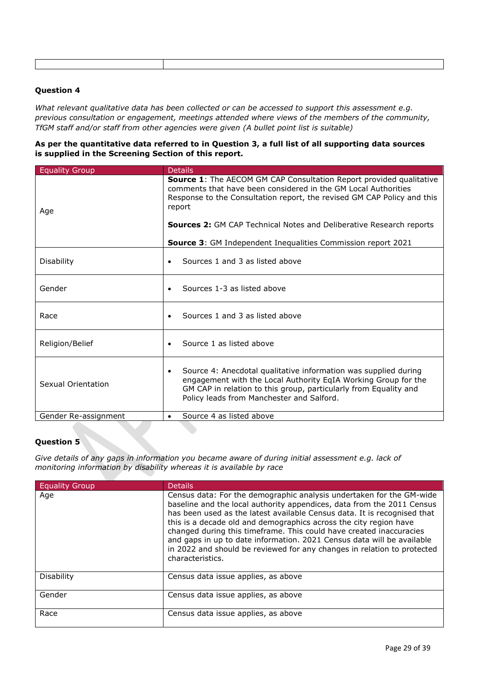*What relevant qualitative data has been collected or can be accessed to support this assessment e.g. previous consultation or engagement, meetings attended where views of the members of the community, TfGM staff and/or staff from other agencies were given (A bullet point list is suitable)*

# **As per the quantitative data referred to in Question 3, a full list of all supporting data sources is supplied in the Screening Section of this report.**

| <b>Equality Group</b> | <b>Details</b>                                                                                                                                                                                                                                                                                                                                                                         |  |  |  |
|-----------------------|----------------------------------------------------------------------------------------------------------------------------------------------------------------------------------------------------------------------------------------------------------------------------------------------------------------------------------------------------------------------------------------|--|--|--|
| Age                   | <b>Source 1:</b> The AECOM GM CAP Consultation Report provided qualitative<br>comments that have been considered in the GM Local Authorities<br>Response to the Consultation report, the revised GM CAP Policy and this<br>report<br><b>Sources 2: GM CAP Technical Notes and Deliberative Research reports</b><br><b>Source 3:</b> GM Independent Inequalities Commission report 2021 |  |  |  |
| Disability            | Sources 1 and 3 as listed above<br>$\bullet$                                                                                                                                                                                                                                                                                                                                           |  |  |  |
| Gender                | Sources 1-3 as listed above<br>$\bullet$                                                                                                                                                                                                                                                                                                                                               |  |  |  |
| Race                  | Sources 1 and 3 as listed above<br>$\bullet$                                                                                                                                                                                                                                                                                                                                           |  |  |  |
| Religion/Belief       | Source 1 as listed above<br>$\bullet$                                                                                                                                                                                                                                                                                                                                                  |  |  |  |
| Sexual Orientation    | Source 4: Anecdotal qualitative information was supplied during<br>$\bullet$<br>engagement with the Local Authority EqIA Working Group for the<br>GM CAP in relation to this group, particularly from Equality and<br>Policy leads from Manchester and Salford.                                                                                                                        |  |  |  |
| Gender Re-assignment  | Source 4 as listed above<br>$\bullet$                                                                                                                                                                                                                                                                                                                                                  |  |  |  |
|                       |                                                                                                                                                                                                                                                                                                                                                                                        |  |  |  |

# **Question 5**

*Give details of any gaps in information you became aware of during initial assessment e.g. lack of monitoring information by disability whereas it is available by race*

| <b>Equality Group</b> | <b>Details</b>                                                                                                                                                                                                                                                                                                                                                                                                                                                                                                                                  |
|-----------------------|-------------------------------------------------------------------------------------------------------------------------------------------------------------------------------------------------------------------------------------------------------------------------------------------------------------------------------------------------------------------------------------------------------------------------------------------------------------------------------------------------------------------------------------------------|
| Age                   | Census data: For the demographic analysis undertaken for the GM-wide<br>baseline and the local authority appendices, data from the 2011 Census<br>has been used as the latest available Census data. It is recognised that<br>this is a decade old and demographics across the city region have<br>changed during this timeframe. This could have created inaccuracies<br>and gaps in up to date information. 2021 Census data will be available<br>in 2022 and should be reviewed for any changes in relation to protected<br>characteristics. |
| <b>Disability</b>     | Census data issue applies, as above                                                                                                                                                                                                                                                                                                                                                                                                                                                                                                             |
| Gender                | Census data issue applies, as above                                                                                                                                                                                                                                                                                                                                                                                                                                                                                                             |
| Race                  | Census data issue applies, as above                                                                                                                                                                                                                                                                                                                                                                                                                                                                                                             |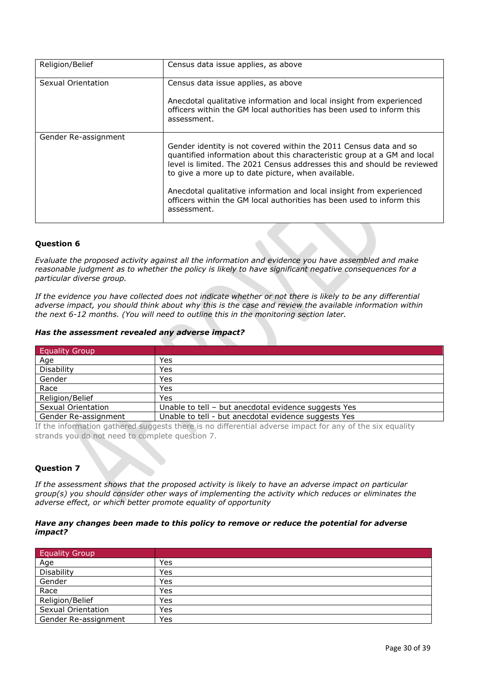| Religion/Belief      | Census data issue applies, as above                                                                                                                                                                                                                                                                                                                                                                                                            |
|----------------------|------------------------------------------------------------------------------------------------------------------------------------------------------------------------------------------------------------------------------------------------------------------------------------------------------------------------------------------------------------------------------------------------------------------------------------------------|
| Sexual Orientation   | Census data issue applies, as above<br>Anecdotal qualitative information and local insight from experienced<br>officers within the GM local authorities has been used to inform this<br>assessment.                                                                                                                                                                                                                                            |
| Gender Re-assignment | Gender identity is not covered within the 2011 Census data and so<br>quantified information about this characteristic group at a GM and local<br>level is limited. The 2021 Census addresses this and should be reviewed<br>to give a more up to date picture, when available.<br>Anecdotal qualitative information and local insight from experienced<br>officers within the GM local authorities has been used to inform this<br>assessment. |

*Evaluate the proposed activity against all the information and evidence you have assembled and make reasonable judgment as to whether the policy is likely to have significant negative consequences for a particular diverse group.*

*If the evidence you have collected does not indicate whether or not there is likely to be any differential adverse impact, you should think about why this is the case and review the available information within the next 6-12 months. (You will need to outline this in the monitoring section later.*

#### *Has the assessment revealed any adverse impact?*

| <b>Equality Group</b> |                                                      |
|-----------------------|------------------------------------------------------|
| Age                   | Yes                                                  |
| Disability            | Yes                                                  |
| Gender                | Yes                                                  |
| Race                  | Yes                                                  |
| Religion/Belief       | Yes                                                  |
| Sexual Orientation    | Unable to tell - but anecdotal evidence suggests Yes |
| Gender Re-assignment  | Unable to tell - but anecdotal evidence suggests Yes |

If the information gathered suggests there is no differential adverse impact for any of the six equality strands you do not need to complete question 7.

# **Question 7**

*If the assessment shows that the proposed activity is likely to have an adverse impact on particular group(s) you should consider other ways of implementing the activity which reduces or eliminates the adverse effect, or which better promote equality of opportunity*

#### *Have any changes been made to this policy to remove or reduce the potential for adverse impact?*

| <b>Equality Group</b> |     |
|-----------------------|-----|
| Age                   | Yes |
| Disability            | Yes |
| Gender                | Yes |
| Race                  | Yes |
| Religion/Belief       | Yes |
| Sexual Orientation    | Yes |
| Gender Re-assignment  | Yes |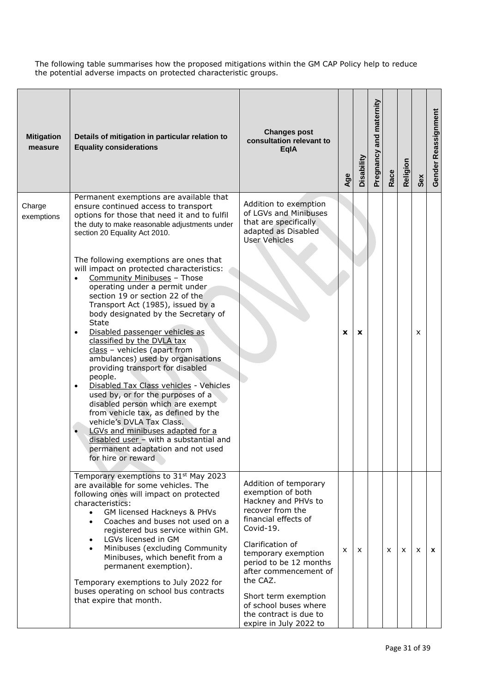The following table summarises how the proposed mitigations within the GM CAP Policy help to reduce the potential adverse impacts on protected characteristic groups.

| <b>Mitigation</b><br>measure | Details of mitigation in particular relation to<br><b>Equality considerations</b>                                                                                                                                                                                                                                                                                                                                                                                                                                                                                                                                                                                                                                                                                                                                                                                                                                                                                                                                                                                                  | <b>Changes post</b><br>consultation relevant to<br><b>EqlA</b>                                                                                                                                                                                                                                                                            | Age | Disability   | Pregnancy and maternity | Race | Religion | Sex | Gender Reassignment |
|------------------------------|------------------------------------------------------------------------------------------------------------------------------------------------------------------------------------------------------------------------------------------------------------------------------------------------------------------------------------------------------------------------------------------------------------------------------------------------------------------------------------------------------------------------------------------------------------------------------------------------------------------------------------------------------------------------------------------------------------------------------------------------------------------------------------------------------------------------------------------------------------------------------------------------------------------------------------------------------------------------------------------------------------------------------------------------------------------------------------|-------------------------------------------------------------------------------------------------------------------------------------------------------------------------------------------------------------------------------------------------------------------------------------------------------------------------------------------|-----|--------------|-------------------------|------|----------|-----|---------------------|
| Charge<br>exemptions         | Permanent exemptions are available that<br>ensure continued access to transport<br>options for those that need it and to fulfil<br>the duty to make reasonable adjustments under<br>section 20 Equality Act 2010.<br>The following exemptions are ones that<br>will impact on protected characteristics:<br>Community Minibuses - Those<br>$\bullet$<br>operating under a permit under<br>section 19 or section 22 of the<br>Transport Act (1985), issued by a<br>body designated by the Secretary of<br><b>State</b><br>Disabled passenger vehicles as<br>$\bullet$<br>classified by the DVLA tax<br>$class - vehicles$ (apart from<br>ambulances) used by organisations<br>providing transport for disabled<br>people.<br>Disabled Tax Class vehicles - Vehicles<br>$\bullet$<br>used by, or for the purposes of a<br>disabled person which are exempt<br>from vehicle tax, as defined by the<br>vehicle's DVLA Tax Class.<br>LGVs and minibuses adapted for a<br>$\bullet$<br>disabled user - with a substantial and<br>permanent adaptation and not used<br>for hire or reward | Addition to exemption<br>of LGVs and Minibuses<br>that are specifically<br>adapted as Disabled<br><b>User Vehicles</b>                                                                                                                                                                                                                    | x   | X            |                         |      |          | X   |                     |
|                              | Temporary exemptions to 31 <sup>st</sup> May 2023<br>are available for some vehicles. The<br>following ones will impact on protected<br>characteristics:<br>GM licensed Hackneys & PHVs<br>Coaches and buses not used on a<br>$\bullet$<br>registered bus service within GM.<br>LGVs licensed in GM<br>$\bullet$<br>Minibuses (excluding Community<br>$\bullet$<br>Minibuses, which benefit from a<br>permanent exemption).<br>Temporary exemptions to July 2022 for<br>buses operating on school bus contracts<br>that expire that month.                                                                                                                                                                                                                                                                                                                                                                                                                                                                                                                                         | Addition of temporary<br>exemption of both<br>Hackney and PHVs to<br>recover from the<br>financial effects of<br>Covid-19.<br>Clarification of<br>temporary exemption<br>period to be 12 months<br>after commencement of<br>the CAZ.<br>Short term exemption<br>of school buses where<br>the contract is due to<br>expire in July 2022 to | x   | $\mathsf{x}$ |                         | x    | X        | X   | $\mathbf{x}$        |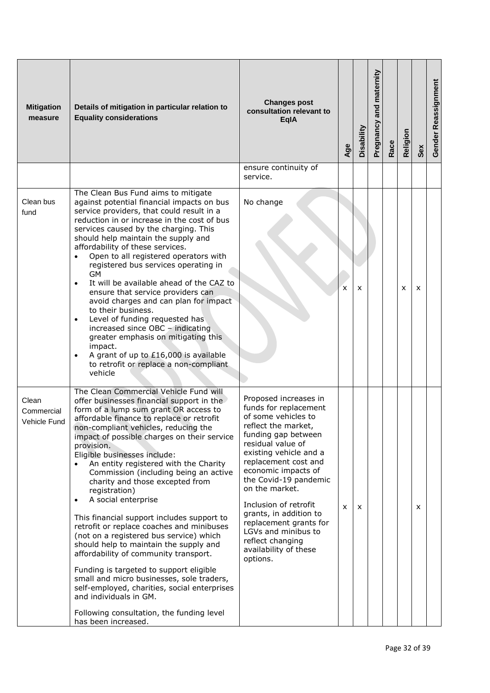| <b>Mitigation</b><br>measure        | Details of mitigation in particular relation to<br><b>Equality considerations</b>                                                                                                                                                                                                                                                                                                                                                                                                                                                                                                                                                                                                                                                                                                                                                                                                                                                                                    | <b>Changes post</b><br>consultation relevant to<br><b>EglA</b>                                                                                                                                                                                                                                                                                                                                                            | Age | Disability | Pregnancy and maternity | Race | Religion | Sex | Gender Reassignment |
|-------------------------------------|----------------------------------------------------------------------------------------------------------------------------------------------------------------------------------------------------------------------------------------------------------------------------------------------------------------------------------------------------------------------------------------------------------------------------------------------------------------------------------------------------------------------------------------------------------------------------------------------------------------------------------------------------------------------------------------------------------------------------------------------------------------------------------------------------------------------------------------------------------------------------------------------------------------------------------------------------------------------|---------------------------------------------------------------------------------------------------------------------------------------------------------------------------------------------------------------------------------------------------------------------------------------------------------------------------------------------------------------------------------------------------------------------------|-----|------------|-------------------------|------|----------|-----|---------------------|
|                                     |                                                                                                                                                                                                                                                                                                                                                                                                                                                                                                                                                                                                                                                                                                                                                                                                                                                                                                                                                                      | ensure continuity of<br>service.                                                                                                                                                                                                                                                                                                                                                                                          |     |            |                         |      |          |     |                     |
| Clean bus<br>fund                   | The Clean Bus Fund aims to mitigate<br>against potential financial impacts on bus<br>service providers, that could result in a<br>reduction in or increase in the cost of bus<br>services caused by the charging. This<br>should help maintain the supply and<br>affordability of these services.<br>Open to all registered operators with<br>$\bullet$<br>registered bus services operating in<br><b>GM</b><br>It will be available ahead of the CAZ to<br>$\bullet$<br>ensure that service providers can<br>avoid charges and can plan for impact<br>to their business.<br>Level of funding requested has<br>$\bullet$<br>increased since $OBC -$ indicating<br>greater emphasis on mitigating this<br>impact.<br>A grant of up to £16,000 is available<br>$\bullet$<br>to retrofit or replace a non-compliant<br>vehicle                                                                                                                                          | No change                                                                                                                                                                                                                                                                                                                                                                                                                 | X   | x          |                         |      | X        | X   |                     |
| Clean<br>Commercial<br>Vehicle Fund | The Clean Commercial Vehicle Fund will<br>offer businesses financial support in the<br>form of a lump sum grant OR access to<br>affordable finance to replace or retrofit<br>non-compliant vehicles, reducing the<br>impact of possible charges on their service<br>provision.<br>Eligible businesses include:<br>An entity registered with the Charity<br>$\bullet$<br>Commission (including being an active<br>charity and those excepted from<br>registration)<br>A social enterprise<br>$\bullet$<br>This financial support includes support to<br>retrofit or replace coaches and minibuses<br>(not on a registered bus service) which<br>should help to maintain the supply and<br>affordability of community transport.<br>Funding is targeted to support eligible<br>small and micro businesses, sole traders,<br>self-employed, charities, social enterprises<br>and individuals in GM.<br>Following consultation, the funding level<br>has been increased. | Proposed increases in<br>funds for replacement<br>of some vehicles to<br>reflect the market,<br>funding gap between<br>residual value of<br>existing vehicle and a<br>replacement cost and<br>economic impacts of<br>the Covid-19 pandemic<br>on the market.<br>Inclusion of retrofit<br>grants, in addition to<br>replacement grants for<br>LGVs and minibus to<br>reflect changing<br>availability of these<br>options. | X   | X          |                         |      |          | x   |                     |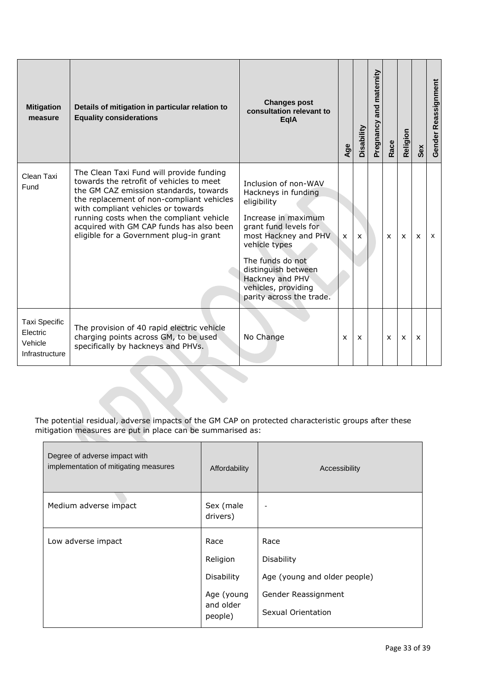| <b>Mitigation</b><br>measure                                  | Details of mitigation in particular relation to<br><b>Equality considerations</b>                                                                                                                                                                                                                                                                    | <b>Changes post</b><br>consultation relevant to<br><b>EalA</b>                                                                                                                                                                                                       | Age | Disability   | and maternity<br>Pregnancy | Race | Religion     | Sex                       | Gender Reassignment |
|---------------------------------------------------------------|------------------------------------------------------------------------------------------------------------------------------------------------------------------------------------------------------------------------------------------------------------------------------------------------------------------------------------------------------|----------------------------------------------------------------------------------------------------------------------------------------------------------------------------------------------------------------------------------------------------------------------|-----|--------------|----------------------------|------|--------------|---------------------------|---------------------|
| Clean Taxi<br>Fund                                            | The Clean Taxi Fund will provide funding<br>towards the retrofit of vehicles to meet<br>the GM CAZ emission standards, towards<br>the replacement of non-compliant vehicles<br>with compliant vehicles or towards<br>running costs when the compliant vehicle<br>acquired with GM CAP funds has also been<br>eligible for a Government plug-in grant | Inclusion of non-WAV<br>Hackneys in funding<br>eligibility<br>Increase in maximum<br>grant fund levels for<br>most Hackney and PHV<br>vehicle types<br>The funds do not<br>distinguish between<br>Hackney and PHV<br>vehicles, providing<br>parity across the trade. | x   | $\mathsf{x}$ |                            | x    | X            | $\boldsymbol{\mathsf{x}}$ | x                   |
| <b>Taxi Specific</b><br>Electric<br>Vehicle<br>Infrastructure | The provision of 40 rapid electric vehicle<br>charging points across GM, to be used<br>specifically by hackneys and PHVs.                                                                                                                                                                                                                            | No Change                                                                                                                                                                                                                                                            | x   | x            |                            | x    | $\mathsf{x}$ | $\boldsymbol{\mathsf{x}}$ |                     |

#### The potential residual, adverse impacts of the GM CAP on protected characteristic groups after these mitigation measures are put in place can be summarised as:

| Degree of adverse impact with<br>implementation of mitigating measures | Affordability         | Accessibility                |
|------------------------------------------------------------------------|-----------------------|------------------------------|
| Medium adverse impact                                                  | Sex (male<br>drivers) |                              |
| Low adverse impact                                                     | Race                  | Race                         |
|                                                                        | Religion              | Disability                   |
|                                                                        | Disability            | Age (young and older people) |
| Age (young                                                             |                       | Gender Reassignment          |
|                                                                        | and older<br>people)  | Sexual Orientation           |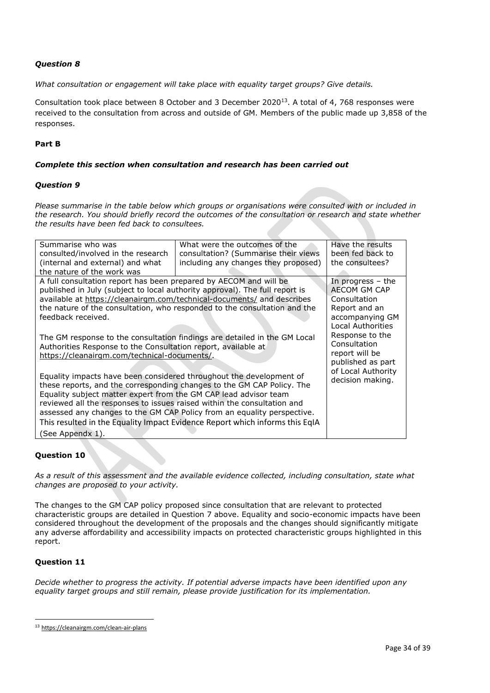*What consultation or engagement will take place with equality target groups? Give details.*

Consultation took place between 8 October and 3 December 2020<sup>13</sup>. A total of 4, 768 responses were received to the consultation from across and outside of GM. Members of the public made up 3,858 of the responses.

# **Part B**

# *Complete this section when consultation and research has been carried out*

#### *Question 9*

*Please summarise in the table below which groups or organisations were consulted with or included in the research. You should briefly record the outcomes of the consultation or research and state whether the results have been fed back to consultees.*

| Summarise who was                                                            | What were the outcomes of the                                             | Have the results         |  |  |
|------------------------------------------------------------------------------|---------------------------------------------------------------------------|--------------------------|--|--|
| consulted/involved in the research                                           | consultation? (Summarise their views                                      | been fed back to         |  |  |
| (internal and external) and what                                             | including any changes they proposed)                                      | the consultees?          |  |  |
| the nature of the work was                                                   |                                                                           |                          |  |  |
| A full consultation report has been prepared by AECOM and will be            |                                                                           | In progress $-$ the      |  |  |
| published in July (subject to local authority approval). The full report is  |                                                                           | AECOM GM CAP             |  |  |
|                                                                              | available at https://cleanairgm.com/technical-documents/ and describes    | Consultation             |  |  |
|                                                                              | the nature of the consultation, who responded to the consultation and the | Report and an            |  |  |
| feedback received.                                                           |                                                                           | accompanying GM          |  |  |
|                                                                              |                                                                           | <b>Local Authorities</b> |  |  |
|                                                                              | The GM response to the consultation findings are detailed in the GM Local | Response to the          |  |  |
| Authorities Response to the Consultation report, available at                | Consultation                                                              |                          |  |  |
| https://cleanairgm.com/technical-documents/.                                 | report will be                                                            |                          |  |  |
|                                                                              |                                                                           | published as part        |  |  |
| Equality impacts have been considered throughout the development of          | of Local Authority                                                        |                          |  |  |
| these reports, and the corresponding changes to the GM CAP Policy. The       | decision making.                                                          |                          |  |  |
| Equality subject matter expert from the GM CAP lead advisor team             |                                                                           |                          |  |  |
| reviewed all the responses to issues raised within the consultation and      |                                                                           |                          |  |  |
| assessed any changes to the GM CAP Policy from an equality perspective.      |                                                                           |                          |  |  |
| This resulted in the Equality Impact Evidence Report which informs this EqIA |                                                                           |                          |  |  |
| (See Appendx 1).                                                             |                                                                           |                          |  |  |

# **Question 10**

*As a result of this assessment and the available evidence collected, including consultation, state what changes are proposed to your activity.*

The changes to the GM CAP policy proposed since consultation that are relevant to protected characteristic groups are detailed in Question 7 above. Equality and socio-economic impacts have been considered throughout the development of the proposals and the changes should significantly mitigate any adverse affordability and accessibility impacts on protected characteristic groups highlighted in this report.

# **Question 11**

*Decide whether to progress the activity. If potential adverse impacts have been identified upon any equality target groups and still remain, please provide justification for its implementation.*

<sup>13</sup> <https://cleanairgm.com/clean-air-plans>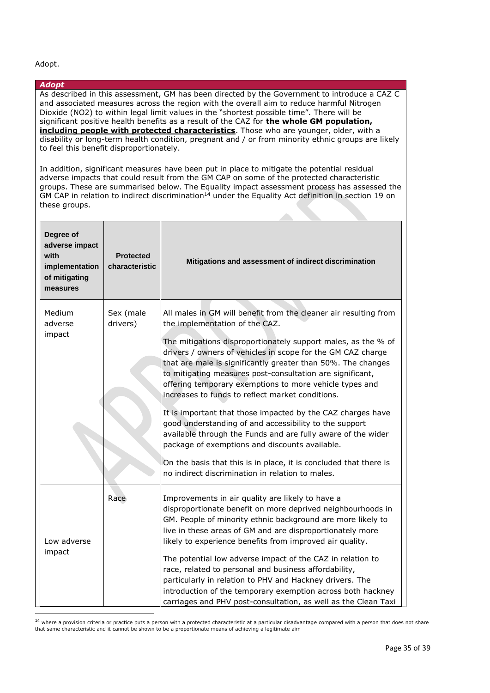#### Adopt.

*Adopt*

# to feel this benefit disproportionately. In addition, significant measures have been put in place to mitigate the potential residual adverse impacts that could result from the GM CAP on some of the protected characteristic groups. These are summarised below. The Equality impact assessment process has assessed the GM CAP in relation to indirect discrimination<sup>14</sup> under the Equality Act definition in section 19 on these groups. **Degree of adverse impact with implementation of mitigating measures Protected characteristic Mitigations and assessment of indirect discrimination** Medium adverse impact Sex (male drivers) All males in GM will benefit from the cleaner air resulting from the implementation of the CAZ. The mitigations disproportionately support males, as the % of drivers / owners of vehicles in scope for the GM CAZ charge that are male is significantly greater than 50%. The changes to mitigating measures post-consultation are significant, offering temporary exemptions to more vehicle types and increases to funds to reflect market conditions. It is important that those impacted by the CAZ charges have good understanding of and accessibility to the support available through the Funds and are fully aware of the wider package of exemptions and discounts available. On the basis that this is in place, it is concluded that there is no indirect discrimination in relation to males. Low adverse impact Race **IMPR** Improvements in air quality are likely to have a disproportionate benefit on more deprived neighbourhoods in GM. People of minority ethnic background are more likely to live in these areas of GM and are disproportionately more likely to experience benefits from improved air quality. The potential low adverse impact of the CAZ in relation to race, related to personal and business affordability, particularly in relation to PHV and Hackney drivers. The introduction of the temporary exemption across both hackney carriages and PHV post-consultation, as well as the Clean Taxi

As described in this assessment, GM has been directed by the Government to introduce a CAZ C and associated measures across the region with the overall aim to reduce harmful Nitrogen Dioxide (NO2) to within legal limit values in the "shortest possible time". There will be significant positive health benefits as a result of the CAZ for **the whole GM population, including people with protected characteristics**. Those who are younger, older, with a disability or long-term health condition, pregnant and / or from minority ethnic groups are likely

<sup>14</sup> where a provision criteria or practice puts a person with a protected characteristic at a particular disadvantage compared with a person that does not share that same characteristic and it cannot be shown to be a proportionate means of achieving a legitimate aim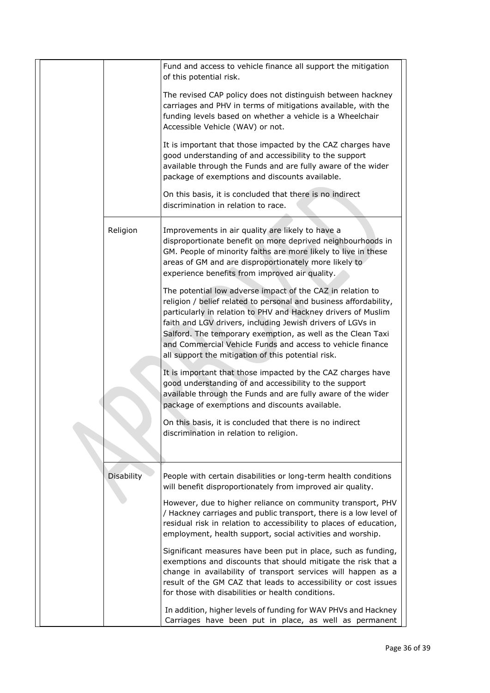|  |                   | Fund and access to vehicle finance all support the mitigation<br>of this potential risk.                                                                                                                                                                                                                                                                                                                                                          |
|--|-------------------|---------------------------------------------------------------------------------------------------------------------------------------------------------------------------------------------------------------------------------------------------------------------------------------------------------------------------------------------------------------------------------------------------------------------------------------------------|
|  |                   | The revised CAP policy does not distinguish between hackney<br>carriages and PHV in terms of mitigations available, with the<br>funding levels based on whether a vehicle is a Wheelchair<br>Accessible Vehicle (WAV) or not.                                                                                                                                                                                                                     |
|  |                   | It is important that those impacted by the CAZ charges have<br>good understanding of and accessibility to the support<br>available through the Funds and are fully aware of the wider<br>package of exemptions and discounts available.                                                                                                                                                                                                           |
|  |                   | On this basis, it is concluded that there is no indirect<br>discrimination in relation to race.                                                                                                                                                                                                                                                                                                                                                   |
|  | Religion          | Improvements in air quality are likely to have a<br>disproportionate benefit on more deprived neighbourhoods in<br>GM. People of minority faiths are more likely to live in these<br>areas of GM and are disproportionately more likely to<br>experience benefits from improved air quality.                                                                                                                                                      |
|  |                   | The potential low adverse impact of the CAZ in relation to<br>religion / belief related to personal and business affordability,<br>particularly in relation to PHV and Hackney drivers of Muslim<br>faith and LGV drivers, including Jewish drivers of LGVs in<br>Salford. The temporary exemption, as well as the Clean Taxi<br>and Commercial Vehicle Funds and access to vehicle finance<br>all support the mitigation of this potential risk. |
|  |                   | It is important that those impacted by the CAZ charges have<br>good understanding of and accessibility to the support<br>available through the Funds and are fully aware of the wider<br>package of exemptions and discounts available.                                                                                                                                                                                                           |
|  |                   | On this basis, it is concluded that there is no indirect<br>discrimination in relation to religion.                                                                                                                                                                                                                                                                                                                                               |
|  | <b>Disability</b> | People with certain disabilities or long-term health conditions<br>will benefit disproportionately from improved air quality.                                                                                                                                                                                                                                                                                                                     |
|  |                   | However, due to higher reliance on community transport, PHV<br>/ Hackney carriages and public transport, there is a low level of<br>residual risk in relation to accessibility to places of education,<br>employment, health support, social activities and worship.                                                                                                                                                                              |
|  |                   | Significant measures have been put in place, such as funding,<br>exemptions and discounts that should mitigate the risk that a<br>change in availability of transport services will happen as a<br>result of the GM CAZ that leads to accessibility or cost issues<br>for those with disabilities or health conditions.                                                                                                                           |
|  |                   | In addition, higher levels of funding for WAV PHVs and Hackney<br>Carriages have been put in place, as well as permanent                                                                                                                                                                                                                                                                                                                          |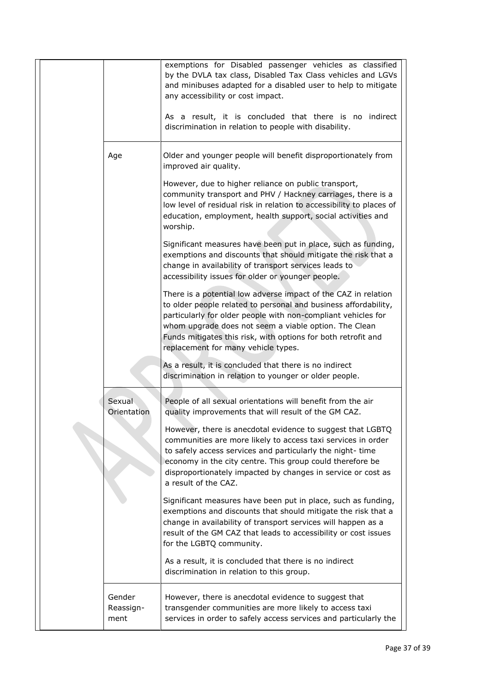|                             | exemptions for Disabled passenger vehicles as classified<br>by the DVLA tax class, Disabled Tax Class vehicles and LGVs<br>and minibuses adapted for a disabled user to help to mitigate<br>any accessibility or cost impact.                                                                                                                                                                                                                                       |
|-----------------------------|---------------------------------------------------------------------------------------------------------------------------------------------------------------------------------------------------------------------------------------------------------------------------------------------------------------------------------------------------------------------------------------------------------------------------------------------------------------------|
|                             | As a result, it is concluded that there is no indirect<br>discrimination in relation to people with disability.                                                                                                                                                                                                                                                                                                                                                     |
| Age                         | Older and younger people will benefit disproportionately from<br>improved air quality.                                                                                                                                                                                                                                                                                                                                                                              |
|                             | However, due to higher reliance on public transport,<br>community transport and PHV / Hackney carriages, there is a<br>low level of residual risk in relation to accessibility to places of<br>education, employment, health support, social activities and<br>worship.                                                                                                                                                                                             |
|                             | Significant measures have been put in place, such as funding,<br>exemptions and discounts that should mitigate the risk that a<br>change in availability of transport services leads to<br>accessibility issues for older or younger people.                                                                                                                                                                                                                        |
|                             | There is a potential low adverse impact of the CAZ in relation<br>to older people related to personal and business affordability,<br>particularly for older people with non-compliant vehicles for<br>whom upgrade does not seem a viable option. The Clean<br>Funds mitigates this risk, with options for both retrofit and<br>replacement for many vehicle types.                                                                                                 |
|                             | As a result, it is concluded that there is no indirect<br>discrimination in relation to younger or older people.                                                                                                                                                                                                                                                                                                                                                    |
| Sexual<br>Orientation       | People of all sexual orientations will benefit from the air<br>quality improvements that will result of the GM CAZ.<br>However, there is anecdotal evidence to suggest that LGBTQ<br>communities are more likely to access taxi services in order<br>to safely access services and particularly the night-time<br>economy in the city centre. This group could therefore be<br>disproportionately impacted by changes in service or cost as<br>a result of the CAZ. |
|                             | Significant measures have been put in place, such as funding,<br>exemptions and discounts that should mitigate the risk that a<br>change in availability of transport services will happen as a<br>result of the GM CAZ that leads to accessibility or cost issues<br>for the LGBTQ community.                                                                                                                                                                      |
|                             | As a result, it is concluded that there is no indirect<br>discrimination in relation to this group.                                                                                                                                                                                                                                                                                                                                                                 |
| Gender<br>Reassign-<br>ment | However, there is anecdotal evidence to suggest that<br>transgender communities are more likely to access taxi<br>services in order to safely access services and particularly the                                                                                                                                                                                                                                                                                  |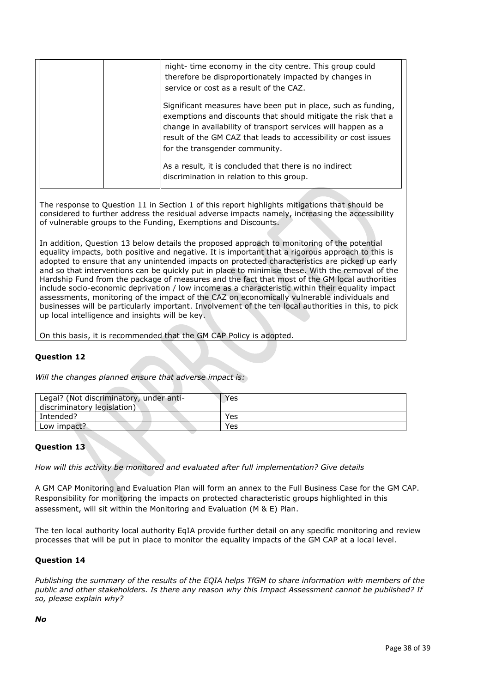| night- time economy in the city centre. This group could<br>therefore be disproportionately impacted by changes in<br>service or cost as a result of the CAZ.                                                                                                                                        |
|------------------------------------------------------------------------------------------------------------------------------------------------------------------------------------------------------------------------------------------------------------------------------------------------------|
| Significant measures have been put in place, such as funding,<br>exemptions and discounts that should mitigate the risk that a<br>change in availability of transport services will happen as a<br>result of the GM CAZ that leads to accessibility or cost issues<br>for the transgender community. |
| As a result, it is concluded that there is no indirect<br>discrimination in relation to this group.                                                                                                                                                                                                  |

The response to Question 11 in Section 1 of this report highlights mitigations that should be considered to further address the residual adverse impacts namely, increasing the accessibility of vulnerable groups to the Funding, Exemptions and Discounts.

In addition, Question 13 below details the proposed approach to monitoring of the potential equality impacts, both positive and negative. It is important that a rigorous approach to this is adopted to ensure that any unintended impacts on protected characteristics are picked up early and so that interventions can be quickly put in place to minimise these. With the removal of the Hardship Fund from the package of measures and the fact that most of the GM local authorities include socio-economic deprivation / low income as a characteristic within their equality impact assessments, monitoring of the impact of the CAZ on economically vulnerable individuals and businesses will be particularly important. Involvement of the ten local authorities in this, to pick up local intelligence and insights will be key.

On this basis, it is recommended that the GM CAP Policy is adopted.

# **Question 12**

*Will the changes planned ensure that adverse impact is:*

| Legal? (Not discriminatory, under anti-<br>discriminatory legislation) | Yes |
|------------------------------------------------------------------------|-----|
| Intended?                                                              | Yes |
| Low impact?                                                            | Yes |

#### **Question 13**

*How will this activity be monitored and evaluated after full implementation? Give details*

A GM CAP Monitoring and Evaluation Plan will form an annex to the Full Business Case for the GM CAP. Responsibility for monitoring the impacts on protected characteristic groups highlighted in this assessment, will sit within the Monitoring and Evaluation (M & E) Plan.

The ten local authority local authority EqIA provide further detail on any specific monitoring and review processes that will be put in place to monitor the equality impacts of the GM CAP at a local level.

#### **Question 14**

*Publishing the summary of the results of the EQIA helps TfGM to share information with members of the public and other stakeholders. Is there any reason why this Impact Assessment cannot be published? If so, please explain why?*